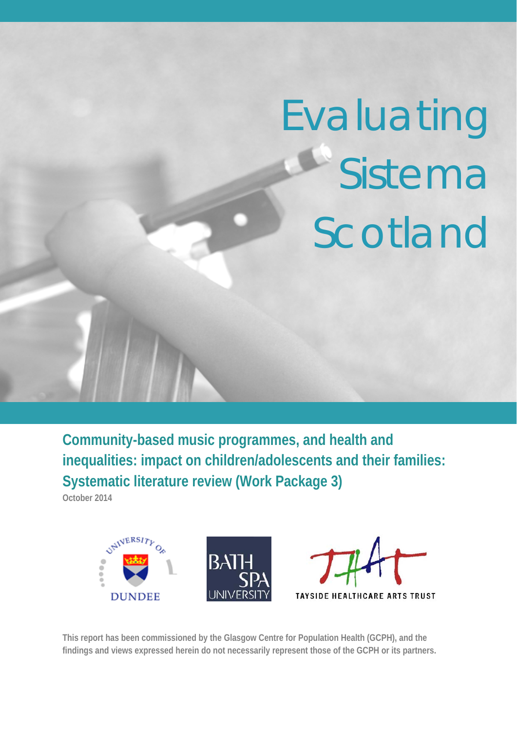# Evaluating Sistema Scotland

**Community-based music programmes, and health and inequalities: impact on children/adolescents and their families: Systematic literature review (Work Package 3)** 

**October 2014** 



**This report has been commissioned by the Glasgow Centre for Population Health (GCPH), and the findings and views expressed herein do not necessarily represent those of the GCPH or its partners.**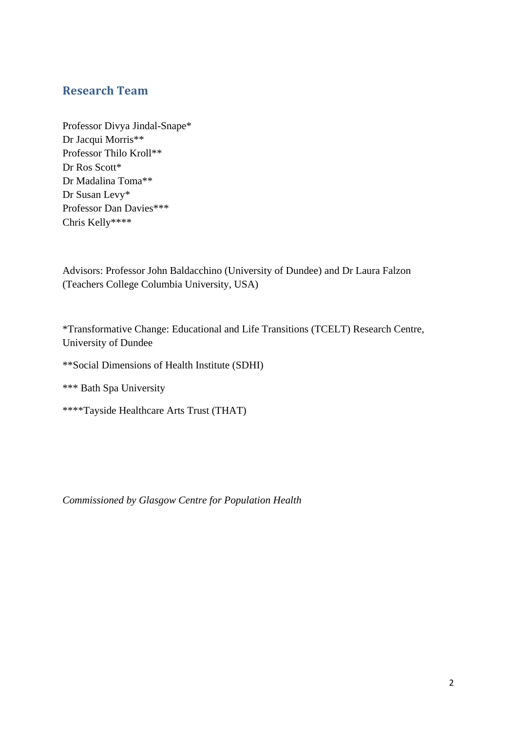# **Research Team**

Professor Divya Jindal-Snape\* Dr Jacqui Morris\*\* Professor Thilo Kroll\*\* Dr Ros Scott\* Dr Madalina Toma\*\* Dr Susan Levy\* Professor Dan Davies\*\*\* Chris Kelly\*\*\*\*

Advisors: Professor John Baldacchino (University of Dundee) and Dr Laura Falzon (Teachers College Columbia University, USA)

\*Transformative Change: Educational and Life Transitions (TCELT) Research Centre, University of Dundee

\*\*Social Dimensions of Health Institute (SDHI)

\*\*\* Bath Spa University

\*\*\*\*Tayside Healthcare Arts Trust (THAT)

*Commissioned by Glasgow Centre for Population Health*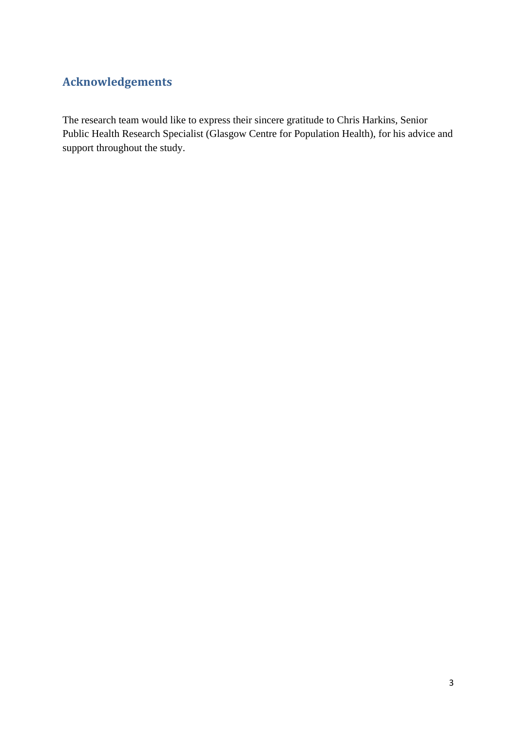# **Acknowledgements**

The research team would like to express their sincere gratitude to Chris Harkins, Senior Public Health Research Specialist (Glasgow Centre for Population Health), for his advice and support throughout the study.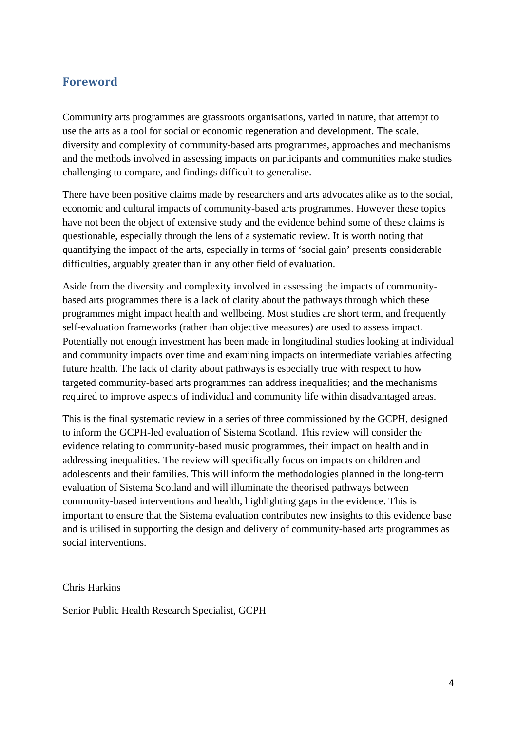# **Foreword**

Community arts programmes are grassroots organisations, varied in nature, that attempt to use the arts as a tool for social or economic regeneration and development. The scale, diversity and complexity of community-based arts programmes, approaches and mechanisms and the methods involved in assessing impacts on participants and communities make studies challenging to compare, and findings difficult to generalise.

There have been positive claims made by researchers and arts advocates alike as to the social, economic and cultural impacts of community-based arts programmes. However these topics have not been the object of extensive study and the evidence behind some of these claims is questionable, especially through the lens of a systematic review. It is worth noting that quantifying the impact of the arts, especially in terms of 'social gain' presents considerable difficulties, arguably greater than in any other field of evaluation.

Aside from the diversity and complexity involved in assessing the impacts of communitybased arts programmes there is a lack of clarity about the pathways through which these programmes might impact health and wellbeing. Most studies are short term, and frequently self-evaluation frameworks (rather than objective measures) are used to assess impact. Potentially not enough investment has been made in longitudinal studies looking at individual and community impacts over time and examining impacts on intermediate variables affecting future health. The lack of clarity about pathways is especially true with respect to how targeted community-based arts programmes can address inequalities; and the mechanisms required to improve aspects of individual and community life within disadvantaged areas.

This is the final systematic review in a series of three commissioned by the GCPH, designed to inform the GCPH-led evaluation of Sistema Scotland. This review will consider the evidence relating to community-based music programmes, their impact on health and in addressing inequalities. The review will specifically focus on impacts on children and adolescents and their families. This will inform the methodologies planned in the long-term evaluation of Sistema Scotland and will illuminate the theorised pathways between community-based interventions and health, highlighting gaps in the evidence. This is important to ensure that the Sistema evaluation contributes new insights to this evidence base and is utilised in supporting the design and delivery of community-based arts programmes as social interventions.

Chris Harkins

Senior Public Health Research Specialist, GCPH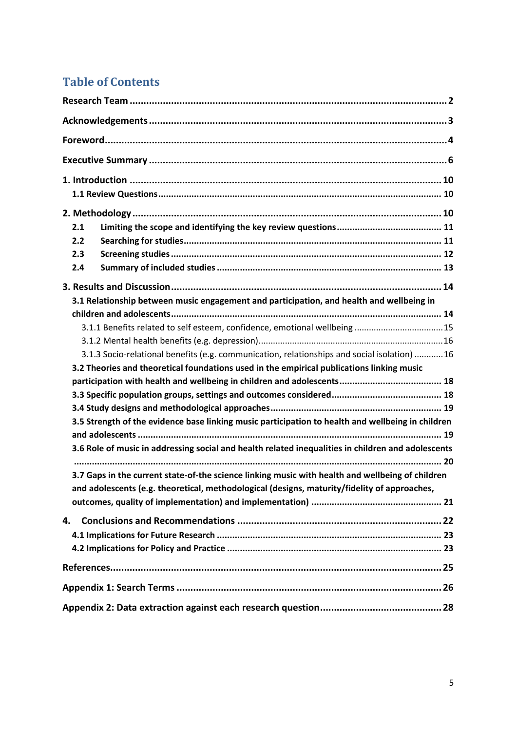# **Table of Contents**

| 2.1 |                                                                                                    |
|-----|----------------------------------------------------------------------------------------------------|
| 2.2 |                                                                                                    |
| 2.3 |                                                                                                    |
| 2.4 |                                                                                                    |
|     |                                                                                                    |
|     | 3.1 Relationship between music engagement and participation, and health and wellbeing in           |
|     |                                                                                                    |
|     | 3.1.1 Benefits related to self esteem, confidence, emotional wellbeing 15                          |
|     |                                                                                                    |
|     | 3.1.3 Socio-relational benefits (e.g. communication, relationships and social isolation) 16        |
|     | 3.2 Theories and theoretical foundations used in the empirical publications linking music          |
|     |                                                                                                    |
|     |                                                                                                    |
|     |                                                                                                    |
|     | 3.5 Strength of the evidence base linking music participation to health and wellbeing in children  |
|     |                                                                                                    |
|     | 3.6 Role of music in addressing social and health related inequalities in children and adolescents |
|     |                                                                                                    |
|     | 3.7 Gaps in the current state-of-the science linking music with health and wellbeing of children   |
|     | and adolescents (e.g. theoretical, methodological (designs, maturity/fidelity of approaches,       |
|     |                                                                                                    |
| 4.  |                                                                                                    |
|     |                                                                                                    |
|     |                                                                                                    |
|     |                                                                                                    |
|     |                                                                                                    |
|     |                                                                                                    |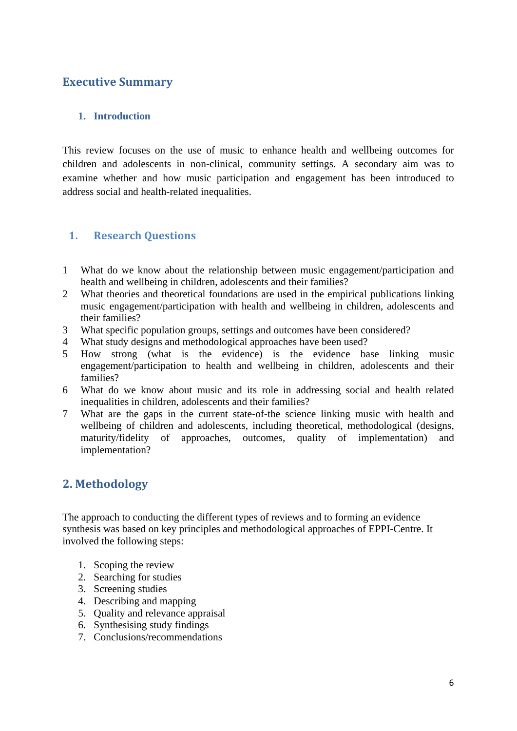# **Executive Summary**

#### **1. Introduction**

This review focuses on the use of music to enhance health and wellbeing outcomes for children and adolescents in non-clinical, community settings. A secondary aim was to examine whether and how music participation and engagement has been introduced to address social and health-related inequalities.

## **1. Research Questions**

- 1 What do we know about the relationship between music engagement/participation and health and wellbeing in children, adolescents and their families?
- 2 What theories and theoretical foundations are used in the empirical publications linking music engagement/participation with health and wellbeing in children, adolescents and their families?
- 3 What specific population groups, settings and outcomes have been considered?
- 4 What study designs and methodological approaches have been used?
- 5 How strong (what is the evidence) is the evidence base linking music engagement/participation to health and wellbeing in children, adolescents and their families?
- 6 What do we know about music and its role in addressing social and health related inequalities in children, adolescents and their families?
- 7 What are the gaps in the current state-of-the science linking music with health and wellbeing of children and adolescents, including theoretical, methodological (designs, maturity/fidelity of approaches, outcomes, quality of implementation) and implementation?

# **2. Methodology**

The approach to conducting the different types of reviews and to forming an evidence synthesis was based on key principles and methodological approaches of EPPI-Centre. It involved the following steps:

- 1. Scoping the review
- 2. Searching for studies
- 3. Screening studies
- 4. Describing and mapping
- 5. Quality and relevance appraisal
- 6. Synthesising study findings
- 7. Conclusions/recommendations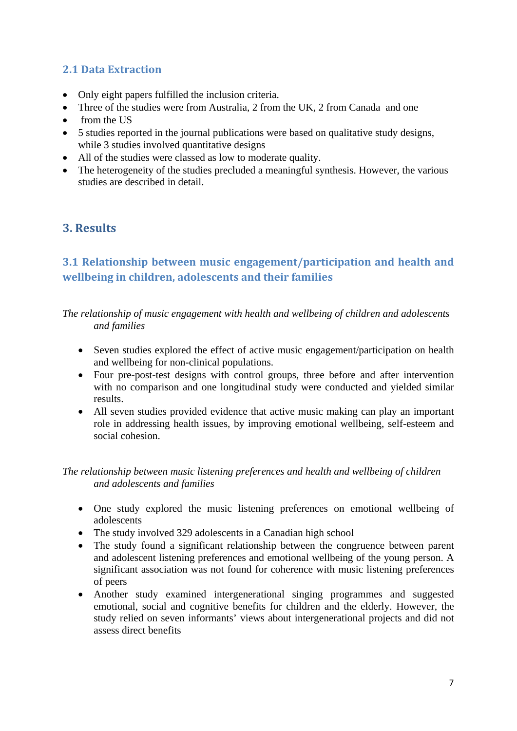# **2.1 Data Extraction**

- Only eight papers fulfilled the inclusion criteria.
- Three of the studies were from Australia, 2 from the UK, 2 from Canada and one
- from the US
- 5 studies reported in the journal publications were based on qualitative study designs, while 3 studies involved quantitative designs
- All of the studies were classed as low to moderate quality.
- The heterogeneity of the studies precluded a meaningful synthesis. However, the various studies are described in detail.

# **3. Results**

# **3.1 Relationship between music engagement/participation and health and wellbeing in children, adolescents and their families**

*The relationship of music engagement with health and wellbeing of children and adolescents and families* 

- Seven studies explored the effect of active music engagement/participation on health and wellbeing for non-clinical populations.
- Four pre-post-test designs with control groups, three before and after intervention with no comparison and one longitudinal study were conducted and yielded similar results.
- All seven studies provided evidence that active music making can play an important role in addressing health issues, by improving emotional wellbeing, self-esteem and social cohesion.

#### *The relationship between music listening preferences and health and wellbeing of children and adolescents and families*

- One study explored the music listening preferences on emotional wellbeing of adolescents
- The study involved 329 adolescents in a Canadian high school
- The study found a significant relationship between the congruence between parent and adolescent listening preferences and emotional wellbeing of the young person. A significant association was not found for coherence with music listening preferences of peers
- Another study examined intergenerational singing programmes and suggested emotional, social and cognitive benefits for children and the elderly. However, the study relied on seven informants' views about intergenerational projects and did not assess direct benefits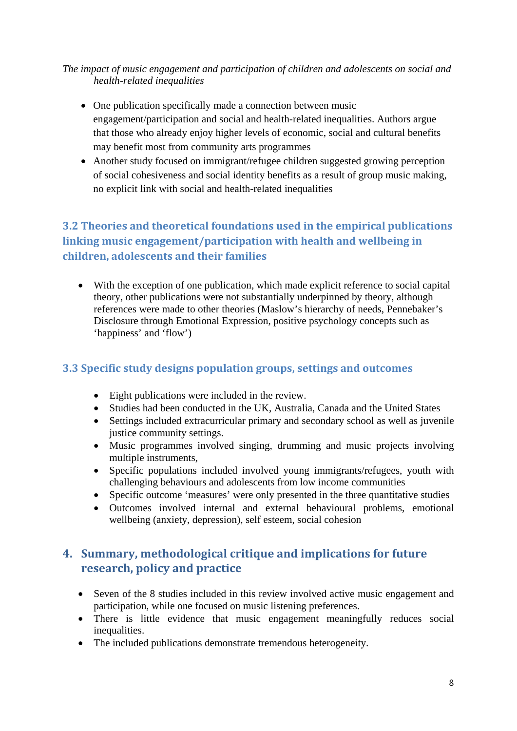*The impact of music engagement and participation of children and adolescents on social and health-related inequalities* 

- One publication specifically made a connection between music engagement/participation and social and health-related inequalities. Authors argue that those who already enjoy higher levels of economic, social and cultural benefits may benefit most from community arts programmes
- Another study focused on immigrant/refugee children suggested growing perception of social cohesiveness and social identity benefits as a result of group music making, no explicit link with social and health-related inequalities

# **3.2 Theories and theoretical foundations used in the empirical publications linking music engagement/participation with health and wellbeing in children, adolescents and their families**

 With the exception of one publication, which made explicit reference to social capital theory, other publications were not substantially underpinned by theory, although references were made to other theories (Maslow's hierarchy of needs, Pennebaker's Disclosure through Emotional Expression, positive psychology concepts such as 'happiness' and 'flow')

# **3.3 Specific study designs population groups, settings and outcomes**

- Eight publications were included in the review.
- Studies had been conducted in the UK, Australia, Canada and the United States
- Settings included extracurricular primary and secondary school as well as juvenile justice community settings.
- Music programmes involved singing, drumming and music projects involving multiple instruments,
- Specific populations included involved young immigrants/refugees, youth with challenging behaviours and adolescents from low income communities
- Specific outcome 'measures' were only presented in the three quantitative studies
- Outcomes involved internal and external behavioural problems, emotional wellbeing (anxiety, depression), self esteem, social cohesion

# **4. Summary, methodological critique and implications for future research, policy and practice**

- Seven of the 8 studies included in this review involved active music engagement and participation, while one focused on music listening preferences.
- There is little evidence that music engagement meaningfully reduces social inequalities.
- The included publications demonstrate tremendous heterogeneity.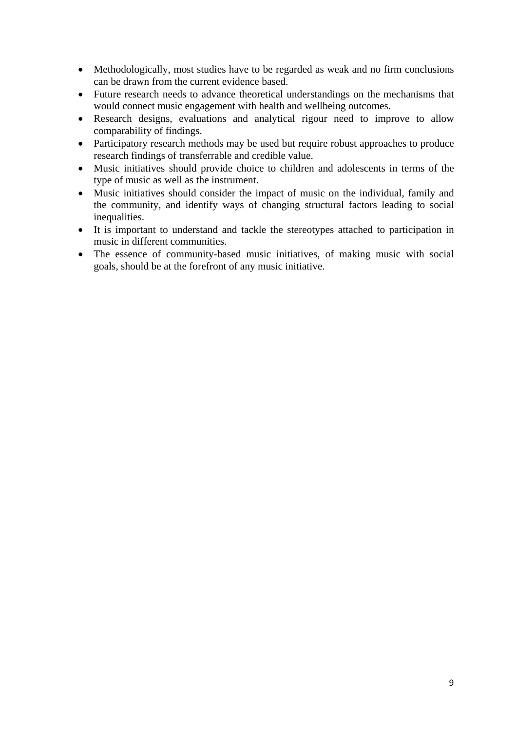- Methodologically, most studies have to be regarded as weak and no firm conclusions can be drawn from the current evidence based.
- Future research needs to advance theoretical understandings on the mechanisms that would connect music engagement with health and wellbeing outcomes.
- Research designs, evaluations and analytical rigour need to improve to allow comparability of findings.
- Participatory research methods may be used but require robust approaches to produce research findings of transferrable and credible value.
- Music initiatives should provide choice to children and adolescents in terms of the type of music as well as the instrument.
- Music initiatives should consider the impact of music on the individual, family and the community, and identify ways of changing structural factors leading to social inequalities.
- It is important to understand and tackle the stereotypes attached to participation in music in different communities.
- The essence of community-based music initiatives, of making music with social goals, should be at the forefront of any music initiative.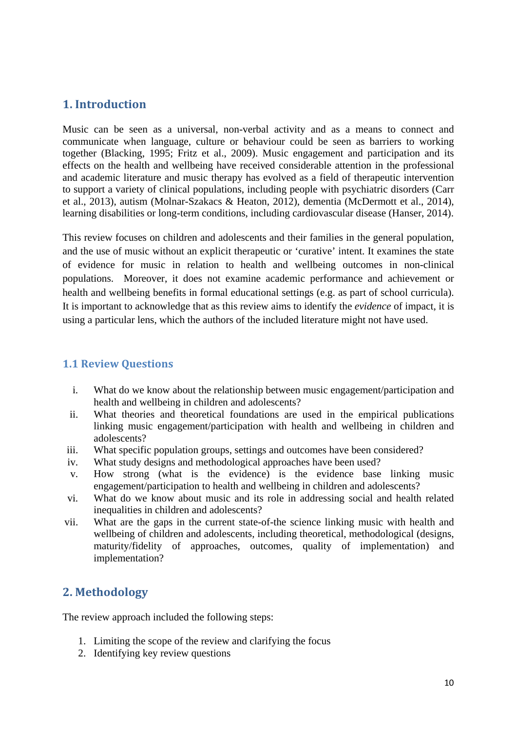# **1. Introduction**

Music can be seen as a universal, non-verbal activity and as a means to connect and communicate when language, culture or behaviour could be seen as barriers to working together (Blacking, 1995; Fritz et al., 2009). Music engagement and participation and its effects on the health and wellbeing have received considerable attention in the professional and academic literature and music therapy has evolved as a field of therapeutic intervention to support a variety of clinical populations, including people with psychiatric disorders (Carr et al., 2013), autism (Molnar-Szakacs & Heaton, 2012), dementia (McDermott et al., 2014), learning disabilities or long-term conditions, including cardiovascular disease (Hanser, 2014).

This review focuses on children and adolescents and their families in the general population, and the use of music without an explicit therapeutic or 'curative' intent. It examines the state of evidence for music in relation to health and wellbeing outcomes in non-clinical populations. Moreover, it does not examine academic performance and achievement or health and wellbeing benefits in formal educational settings (e.g. as part of school curricula). It is important to acknowledge that as this review aims to identify the *evidence* of impact, it is using a particular lens, which the authors of the included literature might not have used.

#### **1.1 Review Questions**

- i. What do we know about the relationship between music engagement/participation and health and wellbeing in children and adolescents?
- ii. What theories and theoretical foundations are used in the empirical publications linking music engagement/participation with health and wellbeing in children and adolescents?
- iii. What specific population groups, settings and outcomes have been considered?
- iv. What study designs and methodological approaches have been used?
- v. How strong (what is the evidence) is the evidence base linking music engagement/participation to health and wellbeing in children and adolescents?
- vi. What do we know about music and its role in addressing social and health related inequalities in children and adolescents?
- vii. What are the gaps in the current state-of-the science linking music with health and wellbeing of children and adolescents, including theoretical, methodological (designs, maturity/fidelity of approaches, outcomes, quality of implementation) and implementation?

# **2. Methodology**

The review approach included the following steps:

- 1. Limiting the scope of the review and clarifying the focus
- 2. Identifying key review questions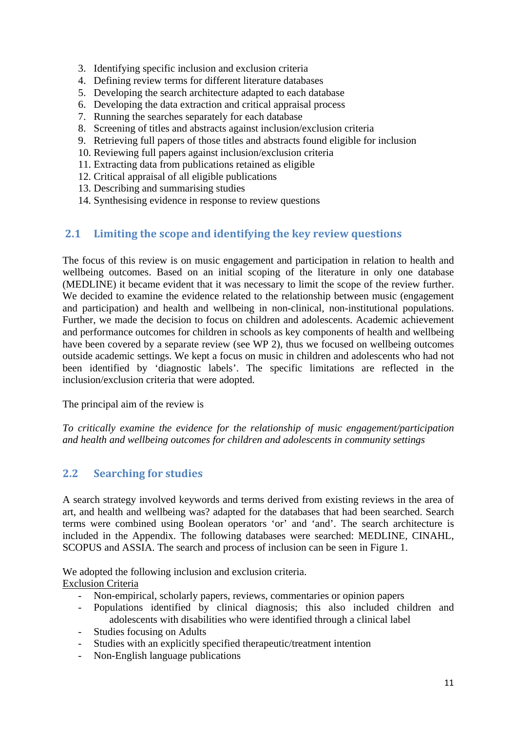- 3. Identifying specific inclusion and exclusion criteria
- 4. Defining review terms for different literature databases
- 5. Developing the search architecture adapted to each database
- 6. Developing the data extraction and critical appraisal process
- 7. Running the searches separately for each database
- 8. Screening of titles and abstracts against inclusion/exclusion criteria
- 9. Retrieving full papers of those titles and abstracts found eligible for inclusion
- 10. Reviewing full papers against inclusion/exclusion criteria
- 11. Extracting data from publications retained as eligible
- 12. Critical appraisal of all eligible publications
- 13. Describing and summarising studies
- 14. Synthesising evidence in response to review questions

## **2.1 Limiting the scope and identifying the key review questions**

The focus of this review is on music engagement and participation in relation to health and wellbeing outcomes. Based on an initial scoping of the literature in only one database (MEDLINE) it became evident that it was necessary to limit the scope of the review further. We decided to examine the evidence related to the relationship between music (engagement and participation) and health and wellbeing in non-clinical, non-institutional populations. Further, we made the decision to focus on children and adolescents. Academic achievement and performance outcomes for children in schools as key components of health and wellbeing have been covered by a separate review (see WP 2), thus we focused on wellbeing outcomes outside academic settings. We kept a focus on music in children and adolescents who had not been identified by 'diagnostic labels'. The specific limitations are reflected in the inclusion/exclusion criteria that were adopted.

The principal aim of the review is

*To critically examine the evidence for the relationship of music engagement/participation and health and wellbeing outcomes for children and adolescents in community settings* 

## **2.2 Searching for studies**

A search strategy involved keywords and terms derived from existing reviews in the area of art, and health and wellbeing was? adapted for the databases that had been searched. Search terms were combined using Boolean operators 'or' and 'and'. The search architecture is included in the Appendix. The following databases were searched: MEDLINE, CINAHL, SCOPUS and ASSIA. The search and process of inclusion can be seen in Figure 1.

We adopted the following inclusion and exclusion criteria. Exclusion Criteria

- Non-empirical, scholarly papers, reviews, commentaries or opinion papers
- Populations identified by clinical diagnosis; this also included children and adolescents with disabilities who were identified through a clinical label
- Studies focusing on Adults
- Studies with an explicitly specified therapeutic/treatment intention
- Non-English language publications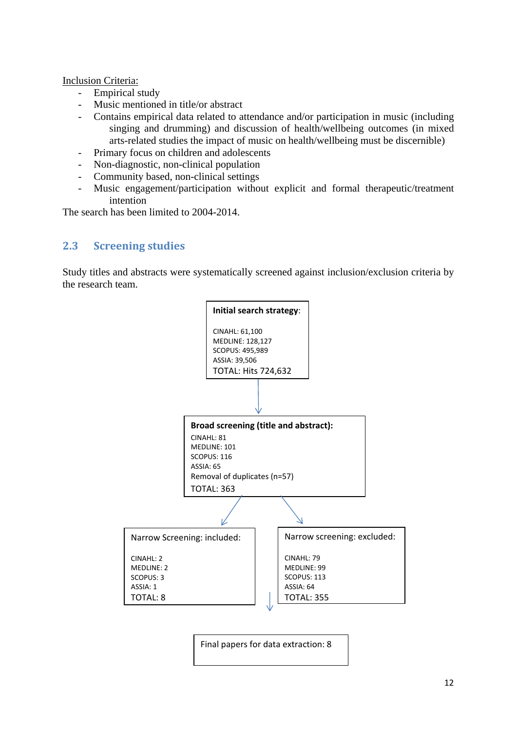#### Inclusion Criteria:

- Empirical study
- Music mentioned in title/or abstract
- Contains empirical data related to attendance and/or participation in music (including singing and drumming) and discussion of health/wellbeing outcomes (in mixed arts-related studies the impact of music on health/wellbeing must be discernible)
- Primary focus on children and adolescents
- Non-diagnostic, non-clinical population
- Community based, non-clinical settings
- Music engagement/participation without explicit and formal therapeutic/treatment intention

The search has been limited to 2004-2014.

#### **2.3 Screening studies**

Study titles and abstracts were systematically screened against inclusion/exclusion criteria by the research team.



Final papers for data extraction: 8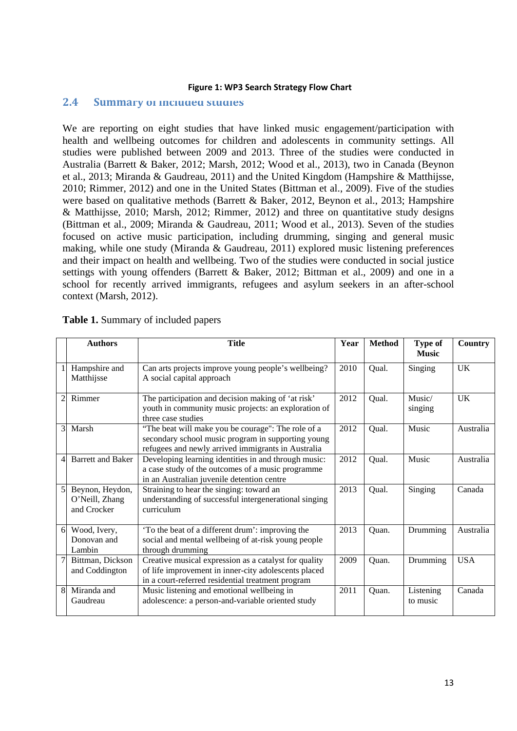#### **Figure 1: WP3 Search Strategy Flow Chart**

#### **2.4 Summary of included studies**

We are reporting on eight studies that have linked music engagement/participation with health and wellbeing outcomes for children and adolescents in community settings. All studies were published between 2009 and 2013. Three of the studies were conducted in Australia (Barrett & Baker, 2012; Marsh, 2012; Wood et al.*,* 2013), two in Canada (Beynon et al., 2013; Miranda & Gaudreau, 2011) and the United Kingdom (Hampshire & Matthijsse, 2010; Rimmer, 2012) and one in the United States (Bittman et al., 2009). Five of the studies were based on qualitative methods (Barrett & Baker, 2012, Beynon et al., 2013; Hampshire & Matthijsse, 2010; Marsh, 2012; Rimmer, 2012) and three on quantitative study designs (Bittman et al., 2009; Miranda & Gaudreau, 2011; Wood et al., 2013). Seven of the studies focused on active music participation, including drumming, singing and general music making, while one study (Miranda & Gaudreau, 2011) explored music listening preferences and their impact on health and wellbeing. Two of the studies were conducted in social justice settings with young offenders (Barrett & Baker, 2012; Bittman et al., 2009) and one in a school for recently arrived immigrants, refugees and asylum seekers in an after-school context (Marsh, 2012).

|              | <b>Authors</b>                                   | <b>Title</b>                                                                                                                                                       | Year | <b>Method</b> | <b>Type of</b><br><b>Music</b> | Country    |
|--------------|--------------------------------------------------|--------------------------------------------------------------------------------------------------------------------------------------------------------------------|------|---------------|--------------------------------|------------|
| $\mathbf{1}$ | Hampshire and<br>Matthijsse                      | Can arts projects improve young people's wellbeing?<br>A social capital approach                                                                                   | 2010 | Qual.         | Singing                        | UK         |
| 2            | Rimmer                                           | The participation and decision making of 'at risk'<br>youth in community music projects: an exploration of<br>three case studies                                   | 2012 | Qual.         | Music/<br>singing              | UK         |
| 3            | Marsh                                            | "The beat will make you be courage": The role of a<br>secondary school music program in supporting young<br>refugees and newly arrived immigrants in Australia     | 2012 | Qual.         | Music                          | Australia  |
| 4            | <b>Barrett and Baker</b>                         | Developing learning identities in and through music:<br>a case study of the outcomes of a music programme<br>in an Australian juvenile detention centre            | 2012 | Qual.         | Music                          | Australia  |
| 5            | Beynon, Heydon,<br>O'Neill, Zhang<br>and Crocker | Straining to hear the singing: toward an<br>understanding of successful intergenerational singing<br>curriculum                                                    | 2013 | Qual.         | Singing                        | Canada     |
| 6            | Wood, Ivery,<br>Donovan and<br>Lambin            | 'To the beat of a different drum': improving the<br>social and mental wellbeing of at-risk young people<br>through drumming                                        | 2013 | Quan.         | Drumming                       | Australia  |
| 7            | Bittman, Dickson<br>and Coddington               | Creative musical expression as a catalyst for quality<br>of life improvement in inner-city adolescents placed<br>in a court-referred residential treatment program | 2009 | Quan.         | Drumming                       | <b>USA</b> |
| 8            | Miranda and<br>Gaudreau                          | Music listening and emotional wellbeing in<br>adolescence: a person-and-variable oriented study                                                                    | 2011 | Quan.         | Listening<br>to music          | Canada     |

| <b>Table 1.</b> Summary of included papers |  |  |  |  |
|--------------------------------------------|--|--|--|--|
|--------------------------------------------|--|--|--|--|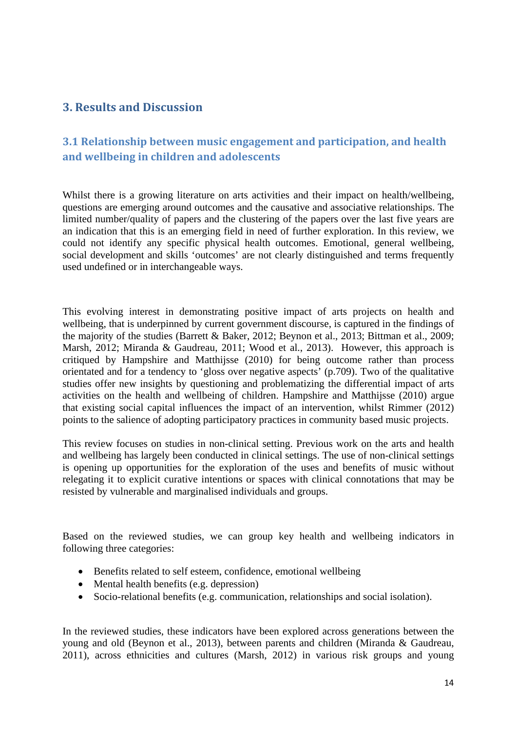# **3. Results and Discussion**

# **3.1 Relationship between music engagement and participation, and health and wellbeing in children and adolescents**

Whilst there is a growing literature on arts activities and their impact on health/wellbeing, questions are emerging around outcomes and the causative and associative relationships. The limited number/quality of papers and the clustering of the papers over the last five years are an indication that this is an emerging field in need of further exploration. In this review, we could not identify any specific physical health outcomes. Emotional, general wellbeing, social development and skills 'outcomes' are not clearly distinguished and terms frequently used undefined or in interchangeable ways.

This evolving interest in demonstrating positive impact of arts projects on health and wellbeing, that is underpinned by current government discourse, is captured in the findings of the majority of the studies (Barrett & Baker, 2012; Beynon et al., 2013; Bittman et al., 2009; Marsh, 2012; Miranda & Gaudreau, 2011; Wood et al., 2013). However, this approach is critiqued by Hampshire and Matthijsse (2010) for being outcome rather than process orientated and for a tendency to 'gloss over negative aspects' (p.709). Two of the qualitative studies offer new insights by questioning and problematizing the differential impact of arts activities on the health and wellbeing of children. Hampshire and Matthijsse (2010) argue that existing social capital influences the impact of an intervention, whilst Rimmer (2012) points to the salience of adopting participatory practices in community based music projects.

This review focuses on studies in non-clinical setting. Previous work on the arts and health and wellbeing has largely been conducted in clinical settings. The use of non-clinical settings is opening up opportunities for the exploration of the uses and benefits of music without relegating it to explicit curative intentions or spaces with clinical connotations that may be resisted by vulnerable and marginalised individuals and groups.

Based on the reviewed studies, we can group key health and wellbeing indicators in following three categories:

- Benefits related to self esteem, confidence, emotional wellbeing
- $\bullet$  Mental health benefits (e.g. depression)
- Socio-relational benefits (e.g. communication, relationships and social isolation).

In the reviewed studies, these indicators have been explored across generations between the young and old (Beynon et al., 2013), between parents and children (Miranda & Gaudreau, 2011), across ethnicities and cultures (Marsh, 2012) in various risk groups and young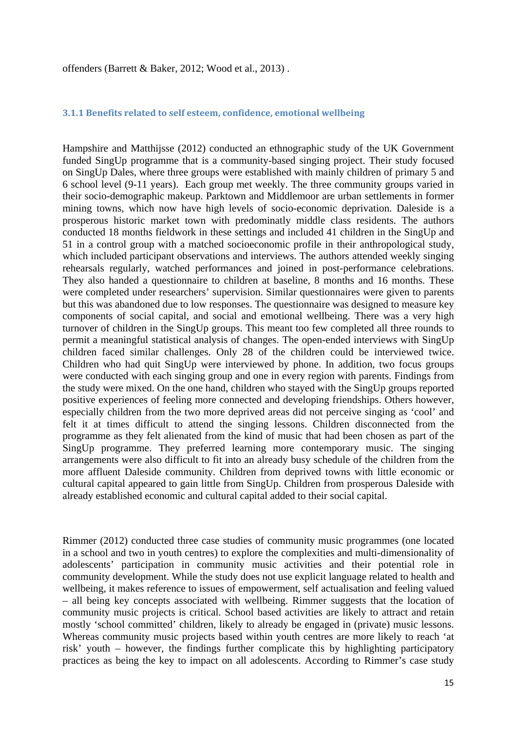offenders (Barrett & Baker, 2012; Wood et al., 2013) .

#### **3.1.1 Benefits related to self esteem, confidence, emotional wellbeing**

Hampshire and Matthijsse (2012) conducted an ethnographic study of the UK Government funded SingUp programme that is a community-based singing project. Their study focused on SingUp Dales, where three groups were established with mainly children of primary 5 and 6 school level (9-11 years). Each group met weekly. The three community groups varied in their socio-demographic makeup. Parktown and Middlemoor are urban settlements in former mining towns, which now have high levels of socio-economic deprivation. Daleside is a prosperous historic market town with predominatly middle class residents. The authors conducted 18 months fieldwork in these settings and included 41 children in the SingUp and 51 in a control group with a matched socioeconomic profile in their anthropological study, which included participant observations and interviews. The authors attended weekly singing rehearsals regularly, watched performances and joined in post-performance celebrations. They also handed a questionnaire to children at baseline, 8 months and 16 months. These were completed under researchers' supervision. Similar questionnaires were given to parents but this was abandoned due to low responses. The questionnaire was designed to measure key components of social capital, and social and emotional wellbeing. There was a very high turnover of children in the SingUp groups. This meant too few completed all three rounds to permit a meaningful statistical analysis of changes. The open-ended interviews with SingUp children faced similar challenges. Only 28 of the children could be interviewed twice. Children who had quit SingUp were interviewed by phone. In addition, two focus groups were conducted with each singing group and one in every region with parents. Findings from the study were mixed. On the one hand, children who stayed with the SingUp groups reported positive experiences of feeling more connected and developing friendships. Others however, especially children from the two more deprived areas did not perceive singing as 'cool' and felt it at times difficult to attend the singing lessons. Children disconnected from the programme as they felt alienated from the kind of music that had been chosen as part of the SingUp programme. They preferred learning more contemporary music. The singing arrangements were also difficult to fit into an already busy schedule of the children from the more affluent Daleside community. Children from deprived towns with little economic or cultural capital appeared to gain little from SingUp. Children from prosperous Daleside with already established economic and cultural capital added to their social capital.

Rimmer (2012) conducted three case studies of community music programmes (one located in a school and two in youth centres) to explore the complexities and multi-dimensionality of adolescents' participation in community music activities and their potential role in community development. While the study does not use explicit language related to health and wellbeing, it makes reference to issues of empowerment, self actualisation and feeling valued – all being key concepts associated with wellbeing. Rimmer suggests that the location of community music projects is critical. School based activities are likely to attract and retain mostly 'school committed' children, likely to already be engaged in (private) music lessons. Whereas community music projects based within youth centres are more likely to reach 'at risk' youth – however, the findings further complicate this by highlighting participatory practices as being the key to impact on all adolescents. According to Rimmer's case study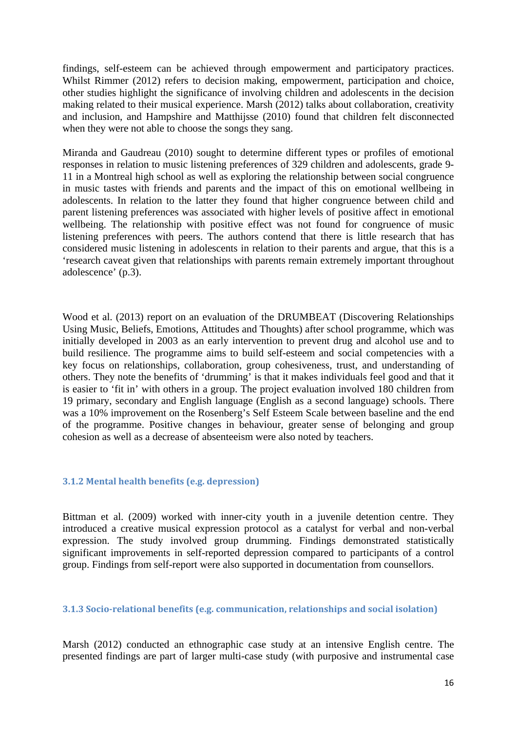findings, self-esteem can be achieved through empowerment and participatory practices. Whilst Rimmer (2012) refers to decision making, empowerment, participation and choice, other studies highlight the significance of involving children and adolescents in the decision making related to their musical experience. Marsh (2012) talks about collaboration, creativity and inclusion, and Hampshire and Matthijsse (2010) found that children felt disconnected when they were not able to choose the songs they sang.

Miranda and Gaudreau (2010) sought to determine different types or profiles of emotional responses in relation to music listening preferences of 329 children and adolescents, grade 9- 11 in a Montreal high school as well as exploring the relationship between social congruence in music tastes with friends and parents and the impact of this on emotional wellbeing in adolescents. In relation to the latter they found that higher congruence between child and parent listening preferences was associated with higher levels of positive affect in emotional wellbeing. The relationship with positive effect was not found for congruence of music listening preferences with peers. The authors contend that there is little research that has considered music listening in adolescents in relation to their parents and argue, that this is a 'research caveat given that relationships with parents remain extremely important throughout adolescence' (p.3).

Wood et al. (2013) report on an evaluation of the DRUMBEAT (Discovering Relationships Using Music, Beliefs, Emotions, Attitudes and Thoughts) after school programme, which was initially developed in 2003 as an early intervention to prevent drug and alcohol use and to build resilience. The programme aims to build self-esteem and social competencies with a key focus on relationships, collaboration, group cohesiveness, trust, and understanding of others. They note the benefits of 'drumming' is that it makes individuals feel good and that it is easier to 'fit in' with others in a group. The project evaluation involved 180 children from 19 primary, secondary and English language (English as a second language) schools. There was a 10% improvement on the Rosenberg's Self Esteem Scale between baseline and the end of the programme. Positive changes in behaviour, greater sense of belonging and group cohesion as well as a decrease of absenteeism were also noted by teachers.

#### **3.1.2 Mental health benefits (e.g. depression)**

Bittman et al. (2009) worked with inner-city youth in a juvenile detention centre. They introduced a creative musical expression protocol as a catalyst for verbal and non-verbal expression. The study involved group drumming. Findings demonstrated statistically significant improvements in self-reported depression compared to participants of a control group. Findings from self-report were also supported in documentation from counsellors.

#### **3.1.3 Sociorelational benefits (e.g. communication, relationships and social isolation)**

Marsh (2012) conducted an ethnographic case study at an intensive English centre. The presented findings are part of larger multi-case study (with purposive and instrumental case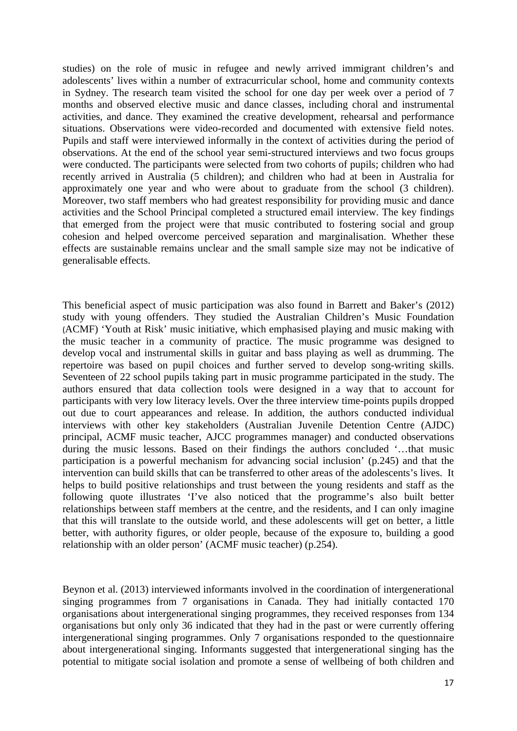studies) on the role of music in refugee and newly arrived immigrant children's and adolescents' lives within a number of extracurricular school, home and community contexts in Sydney. The research team visited the school for one day per week over a period of 7 months and observed elective music and dance classes, including choral and instrumental activities, and dance. They examined the creative development, rehearsal and performance situations. Observations were video-recorded and documented with extensive field notes. Pupils and staff were interviewed informally in the context of activities during the period of observations. At the end of the school year semi-structured interviews and two focus groups were conducted. The participants were selected from two cohorts of pupils; children who had recently arrived in Australia (5 children); and children who had at been in Australia for approximately one year and who were about to graduate from the school (3 children). Moreover, two staff members who had greatest responsibility for providing music and dance activities and the School Principal completed a structured email interview. The key findings that emerged from the project were that music contributed to fostering social and group cohesion and helped overcome perceived separation and marginalisation. Whether these effects are sustainable remains unclear and the small sample size may not be indicative of generalisable effects.

This beneficial aspect of music participation was also found in Barrett and Baker's (2012) study with young offenders. They studied the Australian Children's Music Foundation (ACMF) 'Youth at Risk' music initiative, which emphasised playing and music making with the music teacher in a community of practice. The music programme was designed to develop vocal and instrumental skills in guitar and bass playing as well as drumming. The repertoire was based on pupil choices and further served to develop song-writing skills. Seventeen of 22 school pupils taking part in music programme participated in the study. The authors ensured that data collection tools were designed in a way that to account for participants with very low literacy levels. Over the three interview time-points pupils dropped out due to court appearances and release. In addition, the authors conducted individual interviews with other key stakeholders (Australian Juvenile Detention Centre (AJDC) principal, ACMF music teacher, AJCC programmes manager) and conducted observations during the music lessons. Based on their findings the authors concluded '…that music participation is a powerful mechanism for advancing social inclusion' (p.245) and that the intervention can build skills that can be transferred to other areas of the adolescents's lives. It helps to build positive relationships and trust between the young residents and staff as the following quote illustrates 'I've also noticed that the programme's also built better relationships between staff members at the centre, and the residents, and I can only imagine that this will translate to the outside world, and these adolescents will get on better, a little better, with authority figures, or older people, because of the exposure to, building a good relationship with an older person' (ACMF music teacher) (p.254).

Beynon et al. (2013) interviewed informants involved in the coordination of intergenerational singing programmes from 7 organisations in Canada. They had initially contacted 170 organisations about intergenerational singing programmes, they received responses from 134 organisations but only only 36 indicated that they had in the past or were currently offering intergenerational singing programmes. Only 7 organisations responded to the questionnaire about intergenerational singing. Informants suggested that intergenerational singing has the potential to mitigate social isolation and promote a sense of wellbeing of both children and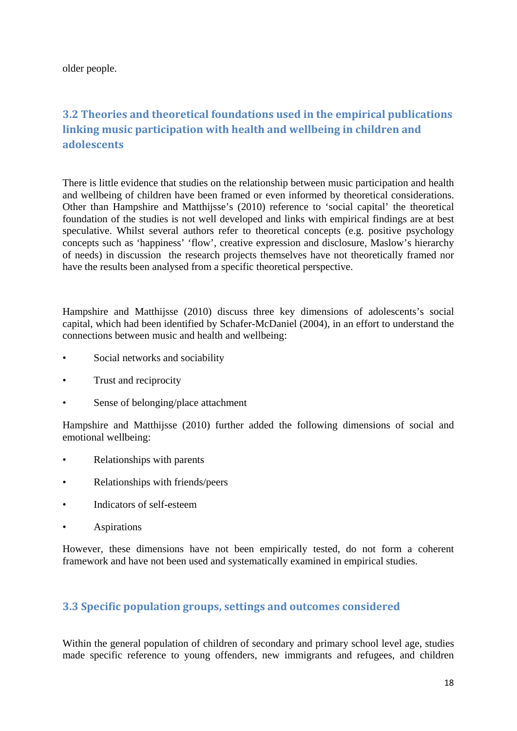older people.

# **3.2 Theories and theoretical foundations used in the empirical publications linking music participation with health and wellbeing in children and adolescents**

There is little evidence that studies on the relationship between music participation and health and wellbeing of children have been framed or even informed by theoretical considerations. Other than Hampshire and Matthijsse's (2010) reference to 'social capital' the theoretical foundation of the studies is not well developed and links with empirical findings are at best speculative. Whilst several authors refer to theoretical concepts (e.g. positive psychology concepts such as 'happiness' 'flow', creative expression and disclosure, Maslow's hierarchy of needs) in discussion the research projects themselves have not theoretically framed nor have the results been analysed from a specific theoretical perspective.

Hampshire and Matthijsse (2010) discuss three key dimensions of adolescents's social capital, which had been identified by Schafer-McDaniel (2004), in an effort to understand the connections between music and health and wellbeing:

- Social networks and sociability
- Trust and reciprocity
- Sense of belonging/place attachment

Hampshire and Matthijsse (2010) further added the following dimensions of social and emotional wellbeing:

- Relationships with parents
- Relationships with friends/peers
- Indicators of self-esteem
- **Aspirations**

However, these dimensions have not been empirically tested, do not form a coherent framework and have not been used and systematically examined in empirical studies.

## **3.3 Specific population groups, settings and outcomes considered**

Within the general population of children of secondary and primary school level age, studies made specific reference to young offenders, new immigrants and refugees, and children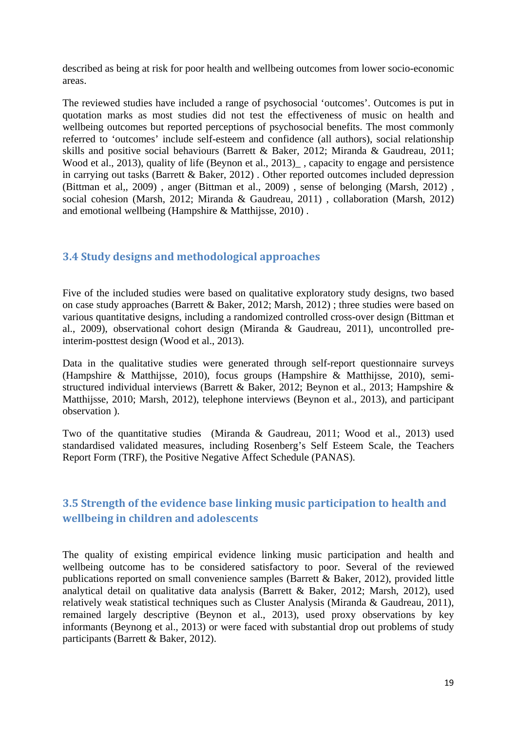described as being at risk for poor health and wellbeing outcomes from lower socio-economic areas.

The reviewed studies have included a range of psychosocial 'outcomes'. Outcomes is put in quotation marks as most studies did not test the effectiveness of music on health and wellbeing outcomes but reported perceptions of psychosocial benefits. The most commonly referred to 'outcomes' include self-esteem and confidence (all authors), social relationship skills and positive social behaviours (Barrett & Baker, 2012; Miranda & Gaudreau, 2011; Wood et al., 2013), quality of life (Beynon et al., 2013)<sub>,</sub> capacity to engage and persistence in carrying out tasks (Barrett & Baker, 2012) . Other reported outcomes included depression (Bittman et al,, 2009) , anger (Bittman et al., 2009) , sense of belonging (Marsh, 2012) , social cohesion (Marsh, 2012; Miranda & Gaudreau, 2011) , collaboration (Marsh, 2012) and emotional wellbeing (Hampshire & Matthijsse, 2010) .

## **3.4 Study designs and methodological approaches**

Five of the included studies were based on qualitative exploratory study designs, two based on case study approaches (Barrett & Baker, 2012; Marsh, 2012) ; three studies were based on various quantitative designs, including a randomized controlled cross-over design (Bittman et al., 2009), observational cohort design (Miranda & Gaudreau, 2011), uncontrolled preinterim-posttest design (Wood et al., 2013).

Data in the qualitative studies were generated through self-report questionnaire surveys (Hampshire & Matthijsse, 2010), focus groups (Hampshire & Matthijsse, 2010), semistructured individual interviews (Barrett & Baker, 2012; Beynon et al., 2013; Hampshire & Matthijsse, 2010; Marsh, 2012), telephone interviews (Beynon et al., 2013), and participant observation ).

Two of the quantitative studies (Miranda & Gaudreau, 2011; Wood et al., 2013) used standardised validated measures, including Rosenberg's Self Esteem Scale, the Teachers Report Form (TRF), the Positive Negative Affect Schedule (PANAS).

# **3.5 Strength of the evidence base linking music participation to health and wellbeing in children and adolescents**

The quality of existing empirical evidence linking music participation and health and wellbeing outcome has to be considered satisfactory to poor. Several of the reviewed publications reported on small convenience samples (Barrett & Baker, 2012), provided little analytical detail on qualitative data analysis (Barrett & Baker, 2012; Marsh, 2012), used relatively weak statistical techniques such as Cluster Analysis (Miranda & Gaudreau, 2011), remained largely descriptive (Beynon et al., 2013), used proxy observations by key informants (Beynong et al., 2013) or were faced with substantial drop out problems of study participants (Barrett & Baker, 2012).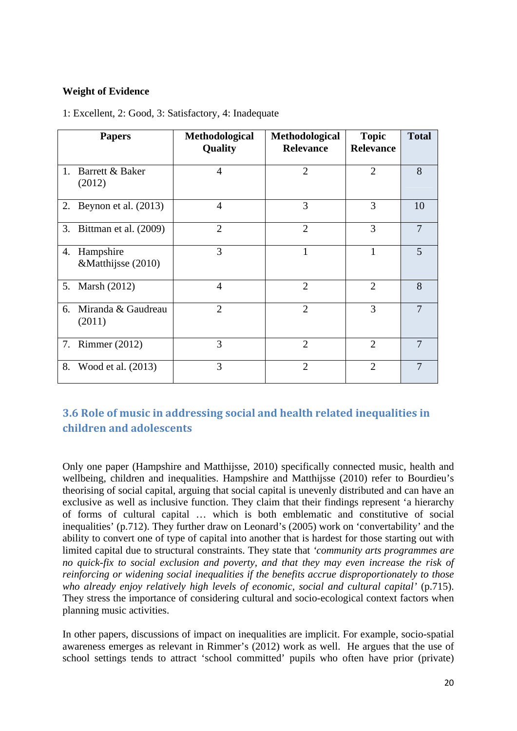#### **Weight of Evidence**

|    | <b>Papers</b>                   | Methodological<br>Quality | Methodological<br><b>Relevance</b> | <b>Topic</b><br><b>Relevance</b> | <b>Total</b> |
|----|---------------------------------|---------------------------|------------------------------------|----------------------------------|--------------|
| 1. | Barrett & Baker<br>(2012)       | $\overline{4}$            | $\mathcal{D}_{\mathcal{L}}$        | $\overline{2}$                   | 8            |
| 2. | Beynon et al. (2013)            | 4                         | 3                                  | 3                                | 10           |
|    | 3. Bittman et al. (2009)        | $\mathfrak{2}$            | $\overline{2}$                     | 3                                | $\tau$       |
| 4. | Hampshire<br>&Matthijsse (2010) | 3                         | $\mathbf{1}$                       | 1                                | 5            |
|    | 5. Marsh (2012)                 | $\overline{4}$            | $\mathcal{D}_{\mathcal{A}}$        | $\overline{2}$                   | 8            |
| 6. | Miranda & Gaudreau<br>(2011)    | $\overline{2}$            | $\overline{2}$                     | 3                                |              |
|    | 7. Rimmer (2012)                | 3                         | $\overline{2}$                     | $\overline{2}$                   |              |
| 8. | Wood et al. (2013)              | 3                         | $\overline{2}$                     | $\overline{2}$                   | 7            |

1: Excellent, 2: Good, 3: Satisfactory, 4: Inadequate

# **3.6 Role of music in addressing social and health related inequalities in children and adolescents**

Only one paper (Hampshire and Matthijsse, 2010) specifically connected music, health and wellbeing, children and inequalities. Hampshire and Matthijsse (2010) refer to Bourdieu's theorising of social capital, arguing that social capital is unevenly distributed and can have an exclusive as well as inclusive function. They claim that their findings represent 'a hierarchy of forms of cultural capital … which is both emblematic and constitutive of social inequalities' (p.712). They further draw on Leonard's (2005) work on 'convertability' and the ability to convert one of type of capital into another that is hardest for those starting out with limited capital due to structural constraints. They state that *'community arts programmes are no quick-fix to social exclusion and poverty, and that they may even increase the risk of reinforcing or widening social inequalities if the benefits accrue disproportionately to those who already enjoy relatively high levels of economic, social and cultural capital'* (p.715). They stress the importance of considering cultural and socio-ecological context factors when planning music activities.

In other papers, discussions of impact on inequalities are implicit. For example, socio-spatial awareness emerges as relevant in Rimmer's (2012) work as well. He argues that the use of school settings tends to attract 'school committed' pupils who often have prior (private)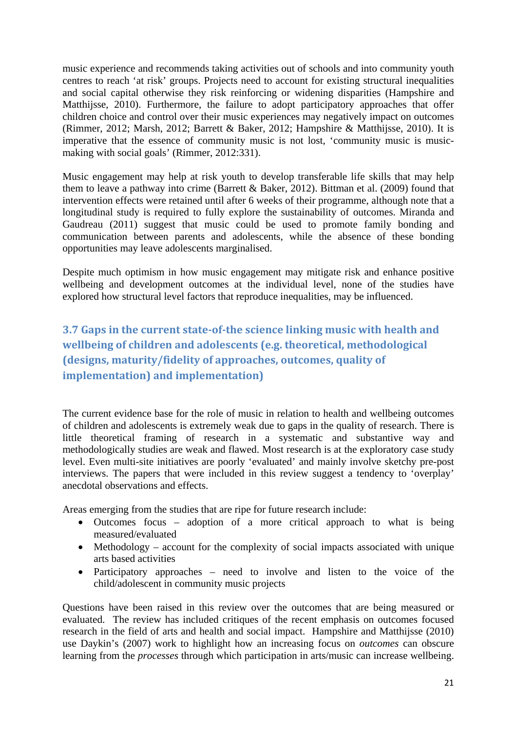music experience and recommends taking activities out of schools and into community youth centres to reach 'at risk' groups. Projects need to account for existing structural inequalities and social capital otherwise they risk reinforcing or widening disparities (Hampshire and Matthijsse, 2010). Furthermore, the failure to adopt participatory approaches that offer children choice and control over their music experiences may negatively impact on outcomes (Rimmer, 2012; Marsh, 2012; Barrett & Baker, 2012; Hampshire & Matthijsse, 2010). It is imperative that the essence of community music is not lost, 'community music is musicmaking with social goals' (Rimmer, 2012:331).

Music engagement may help at risk youth to develop transferable life skills that may help them to leave a pathway into crime (Barrett & Baker, 2012). Bittman et al. (2009) found that intervention effects were retained until after 6 weeks of their programme, although note that a longitudinal study is required to fully explore the sustainability of outcomes. Miranda and Gaudreau (2011) suggest that music could be used to promote family bonding and communication between parents and adolescents, while the absence of these bonding opportunities may leave adolescents marginalised.

Despite much optimism in how music engagement may mitigate risk and enhance positive wellbeing and development outcomes at the individual level, none of the studies have explored how structural level factors that reproduce inequalities, may be influenced.

**3.7 Gaps in the current stateofthe science linking music with health and wellbeing of children and adolescents (e.g. theoretical, methodological (designs, maturity/fidelity of approaches, outcomes, quality of implementation) and implementation)**

The current evidence base for the role of music in relation to health and wellbeing outcomes of children and adolescents is extremely weak due to gaps in the quality of research. There is little theoretical framing of research in a systematic and substantive way and methodologically studies are weak and flawed. Most research is at the exploratory case study level. Even multi-site initiatives are poorly 'evaluated' and mainly involve sketchy pre-post interviews. The papers that were included in this review suggest a tendency to 'overplay' anecdotal observations and effects.

Areas emerging from the studies that are ripe for future research include:

- Outcomes focus adoption of a more critical approach to what is being measured/evaluated
- $\bullet$  Methodology account for the complexity of social impacts associated with unique arts based activities
- Participatory approaches need to involve and listen to the voice of the child/adolescent in community music projects

Questions have been raised in this review over the outcomes that are being measured or evaluated. The review has included critiques of the recent emphasis on outcomes focused research in the field of arts and health and social impact. Hampshire and Matthijsse (2010) use Daykin's (2007) work to highlight how an increasing focus on *outcomes* can obscure learning from the *processes* through which participation in arts/music can increase wellbeing.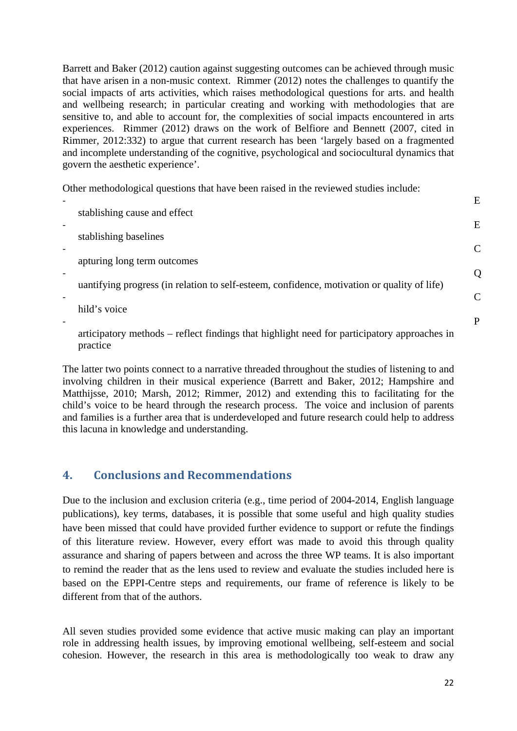Barrett and Baker (2012) caution against suggesting outcomes can be achieved through music that have arisen in a non-music context. Rimmer (2012) notes the challenges to quantify the social impacts of arts activities, which raises methodological questions for arts. and health and wellbeing research; in particular creating and working with methodologies that are sensitive to, and able to account for, the complexities of social impacts encountered in arts experiences. Rimmer (2012) draws on the work of Belfiore and Bennett (2007, cited in Rimmer, 2012:332) to argue that current research has been 'largely based on a fragmented and incomplete understanding of the cognitive, psychological and sociocultural dynamics that govern the aesthetic experience'.

Other methodological questions that have been raised in the reviewed studies include:

| stablishing cause and effect                                                                | E |
|---------------------------------------------------------------------------------------------|---|
|                                                                                             | E |
| stablishing baselines                                                                       |   |
| apturing long term outcomes                                                                 |   |
| uantifying progress (in relation to self-esteem, confidence, motivation or quality of life) |   |
| hild's voice                                                                                |   |
|                                                                                             | P |

articipatory methods – reflect findings that highlight need for participatory approaches in practice

The latter two points connect to a narrative threaded throughout the studies of listening to and involving children in their musical experience (Barrett and Baker, 2012; Hampshire and Matthijsse, 2010; Marsh, 2012; Rimmer, 2012) and extending this to facilitating for the child's voice to be heard through the research process. The voice and inclusion of parents and families is a further area that is underdeveloped and future research could help to address this lacuna in knowledge and understanding.

# **4. Conclusions and Recommendations**

Due to the inclusion and exclusion criteria (e.g., time period of 2004-2014, English language publications), key terms, databases, it is possible that some useful and high quality studies have been missed that could have provided further evidence to support or refute the findings of this literature review. However, every effort was made to avoid this through quality assurance and sharing of papers between and across the three WP teams. It is also important to remind the reader that as the lens used to review and evaluate the studies included here is based on the EPPI-Centre steps and requirements, our frame of reference is likely to be different from that of the authors.

All seven studies provided some evidence that active music making can play an important role in addressing health issues, by improving emotional wellbeing, self-esteem and social cohesion. However, the research in this area is methodologically too weak to draw any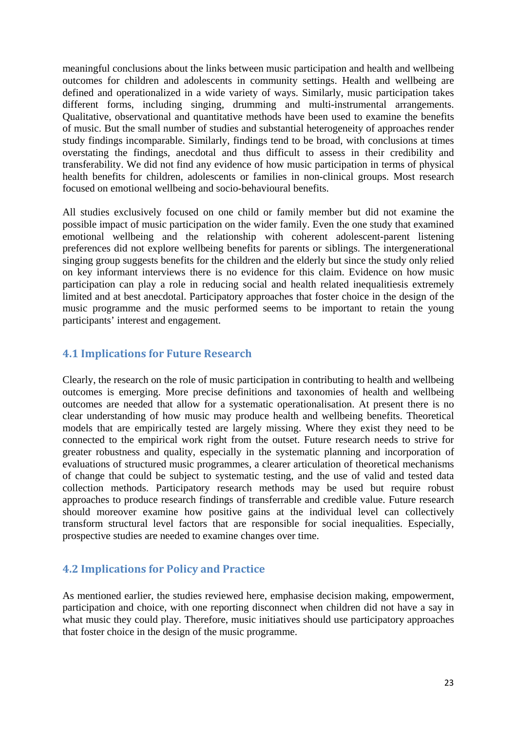meaningful conclusions about the links between music participation and health and wellbeing outcomes for children and adolescents in community settings. Health and wellbeing are defined and operationalized in a wide variety of ways. Similarly, music participation takes different forms, including singing, drumming and multi-instrumental arrangements. Qualitative, observational and quantitative methods have been used to examine the benefits of music. But the small number of studies and substantial heterogeneity of approaches render study findings incomparable. Similarly, findings tend to be broad, with conclusions at times overstating the findings, anecdotal and thus difficult to assess in their credibility and transferability. We did not find any evidence of how music participation in terms of physical health benefits for children, adolescents or families in non-clinical groups. Most research focused on emotional wellbeing and socio-behavioural benefits.

All studies exclusively focused on one child or family member but did not examine the possible impact of music participation on the wider family. Even the one study that examined emotional wellbeing and the relationship with coherent adolescent-parent listening preferences did not explore wellbeing benefits for parents or siblings. The intergenerational singing group suggests benefits for the children and the elderly but since the study only relied on key informant interviews there is no evidence for this claim. Evidence on how music participation can play a role in reducing social and health related inequalitiesis extremely limited and at best anecdotal. Participatory approaches that foster choice in the design of the music programme and the music performed seems to be important to retain the young participants' interest and engagement.

#### **4.1 Implications for Future Research**

Clearly, the research on the role of music participation in contributing to health and wellbeing outcomes is emerging. More precise definitions and taxonomies of health and wellbeing outcomes are needed that allow for a systematic operationalisation. At present there is no clear understanding of how music may produce health and wellbeing benefits. Theoretical models that are empirically tested are largely missing. Where they exist they need to be connected to the empirical work right from the outset. Future research needs to strive for greater robustness and quality, especially in the systematic planning and incorporation of evaluations of structured music programmes, a clearer articulation of theoretical mechanisms of change that could be subject to systematic testing, and the use of valid and tested data collection methods. Participatory research methods may be used but require robust approaches to produce research findings of transferrable and credible value. Future research should moreover examine how positive gains at the individual level can collectively transform structural level factors that are responsible for social inequalities. Especially, prospective studies are needed to examine changes over time.

## **4.2 Implications for Policy and Practice**

As mentioned earlier, the studies reviewed here, emphasise decision making, empowerment, participation and choice, with one reporting disconnect when children did not have a say in what music they could play. Therefore, music initiatives should use participatory approaches that foster choice in the design of the music programme.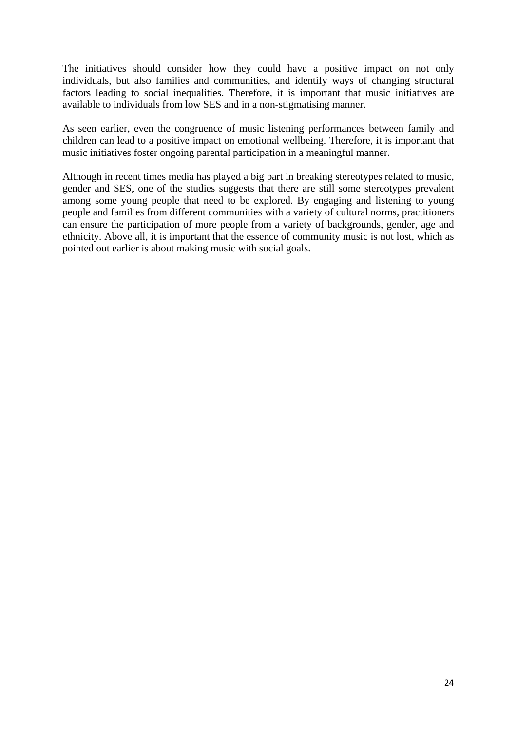The initiatives should consider how they could have a positive impact on not only individuals, but also families and communities, and identify ways of changing structural factors leading to social inequalities. Therefore, it is important that music initiatives are available to individuals from low SES and in a non-stigmatising manner.

As seen earlier, even the congruence of music listening performances between family and children can lead to a positive impact on emotional wellbeing. Therefore, it is important that music initiatives foster ongoing parental participation in a meaningful manner.

Although in recent times media has played a big part in breaking stereotypes related to music, gender and SES, one of the studies suggests that there are still some stereotypes prevalent among some young people that need to be explored. By engaging and listening to young people and families from different communities with a variety of cultural norms, practitioners can ensure the participation of more people from a variety of backgrounds, gender, age and ethnicity. Above all, it is important that the essence of community music is not lost, which as pointed out earlier is about making music with social goals.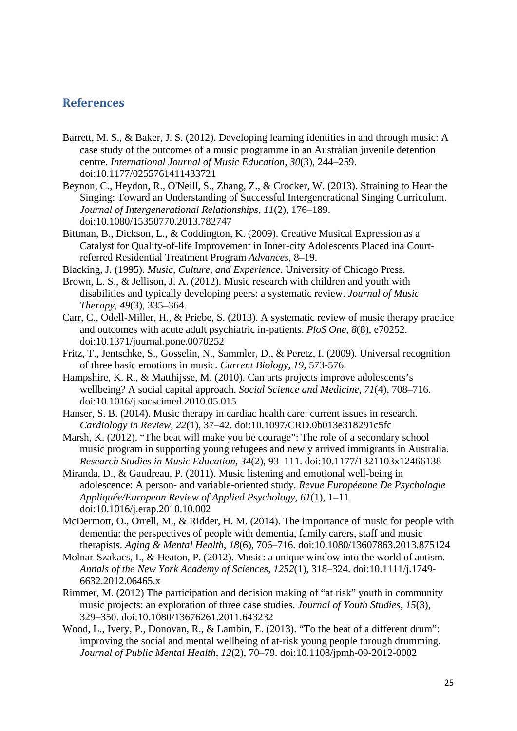#### **References**

- Barrett, M. S., & Baker, J. S. (2012). Developing learning identities in and through music: A case study of the outcomes of a music programme in an Australian juvenile detention centre. *International Journal of Music Education*, *30*(3), 244–259. doi:10.1177/0255761411433721
- Beynon, C., Heydon, R., O'Neill, S., Zhang, Z., & Crocker, W. (2013). Straining to Hear the Singing: Toward an Understanding of Successful Intergenerational Singing Curriculum. *Journal of Intergenerational Relationships*, *11*(2), 176–189. doi:10.1080/15350770.2013.782747
- Bittman, B., Dickson, L., & Coddington, K. (2009). Creative Musical Expression as a Catalyst for Quality-of-life Improvement in Inner-city Adolescents Placed ina Courtreferred Residential Treatment Program *Advances*, 8–19.
- Blacking, J. (1995). *Music, Culture, and Experience*. University of Chicago Press.
- Brown, L. S., & Jellison, J. A. (2012). Music research with children and youth with disabilities and typically developing peers: a systematic review. *Journal of Music Therapy*, *49*(3), 335–364.
- Carr, C., Odell-Miller, H., & Priebe, S. (2013). A systematic review of music therapy practice and outcomes with acute adult psychiatric in-patients. *PloS One*, *8*(8), e70252. doi:10.1371/journal.pone.0070252
- Fritz, T., Jentschke, S., Gosselin, N., Sammler, D., & Peretz, I. (2009). Universal recognition of three basic emotions in music. *Current Biology, 19,* 573-576.
- Hampshire, K. R., & Matthijsse, M. (2010). Can arts projects improve adolescents's wellbeing? A social capital approach. *Social Science and Medicine*, *71*(4), 708–716. doi:10.1016/j.socscimed.2010.05.015
- Hanser, S. B. (2014). Music therapy in cardiac health care: current issues in research. *Cardiology in Review*, *22*(1), 37–42. doi:10.1097/CRD.0b013e318291c5fc
- Marsh, K. (2012). "The beat will make you be courage": The role of a secondary school music program in supporting young refugees and newly arrived immigrants in Australia. *Research Studies in Music Education*, *34*(2), 93–111. doi:10.1177/1321103x12466138
- Miranda, D., & Gaudreau, P. (2011). Music listening and emotional well-being in adolescence: A person- and variable-oriented study. *Revue Européenne De Psychologie Appliquée/European Review of Applied Psychology*, *61*(1), 1–11. doi:10.1016/j.erap.2010.10.002
- McDermott, O., Orrell, M., & Ridder, H. M. (2014). The importance of music for people with dementia: the perspectives of people with dementia, family carers, staff and music therapists. *Aging & Mental Health*, *18*(6), 706–716. doi:10.1080/13607863.2013.875124
- Molnar-Szakacs, I., & Heaton, P. (2012). Music: a unique window into the world of autism. *Annals of the New York Academy of Sciences*, *1252*(1), 318–324. doi:10.1111/j.1749- 6632.2012.06465.x
- Rimmer, M. (2012) The participation and decision making of "at risk" youth in community music projects: an exploration of three case studies. *Journal of Youth Studies*, *15*(3), 329–350. doi:10.1080/13676261.2011.643232
- Wood, L., Ivery, P., Donovan, R., & Lambin, E. (2013). "To the beat of a different drum": improving the social and mental wellbeing of at-risk young people through drumming. *Journal of Public Mental Health*, *12*(2), 70–79. doi:10.1108/jpmh-09-2012-0002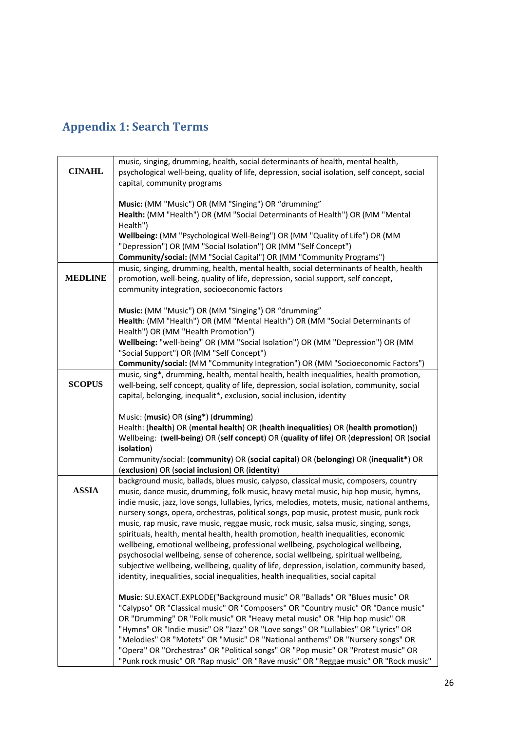# **Appendix 1: Search Terms**

|                | music, singing, drumming, health, social determinants of health, mental health,                                                                                         |
|----------------|-------------------------------------------------------------------------------------------------------------------------------------------------------------------------|
| <b>CINAHL</b>  |                                                                                                                                                                         |
|                | psychological well-being, quality of life, depression, social isolation, self concept, social                                                                           |
|                | capital, community programs                                                                                                                                             |
|                |                                                                                                                                                                         |
|                | Music: (MM "Music") OR (MM "Singing") OR "drumming"                                                                                                                     |
|                | Health: (MM "Health") OR (MM "Social Determinants of Health") OR (MM "Mental                                                                                            |
|                | Health")                                                                                                                                                                |
|                | Wellbeing: (MM "Psychological Well-Being") OR (MM "Quality of Life") OR (MM                                                                                             |
|                | "Depression") OR (MM "Social Isolation") OR (MM "Self Concept")                                                                                                         |
|                | Community/social: (MM "Social Capital") OR (MM "Community Programs")                                                                                                    |
|                | music, singing, drumming, health, mental health, social determinants of health, health                                                                                  |
| <b>MEDLINE</b> | promotion, well-being, quality of life, depression, social support, self concept,                                                                                       |
|                | community integration, socioeconomic factors                                                                                                                            |
|                |                                                                                                                                                                         |
|                |                                                                                                                                                                         |
|                | Music: (MM "Music") OR (MM "Singing") OR "drumming"                                                                                                                     |
|                | Health: (MM "Health") OR (MM "Mental Health") OR (MM "Social Determinants of                                                                                            |
|                | Health") OR (MM "Health Promotion")                                                                                                                                     |
|                | Wellbeing: "well-being" OR (MM "Social Isolation") OR (MM "Depression") OR (MM                                                                                          |
|                | "Social Support") OR (MM "Self Concept")                                                                                                                                |
|                | Community/social: (MM "Community Integration") OR (MM "Socioeconomic Factors")                                                                                          |
|                | music, sing*, drumming, health, mental health, health inequalities, health promotion,                                                                                   |
| <b>SCOPUS</b>  | well-being, self concept, quality of life, depression, social isolation, community, social                                                                              |
|                | capital, belonging, inequalit*, exclusion, social inclusion, identity                                                                                                   |
|                |                                                                                                                                                                         |
|                | Music: (music) OR (sing*) (drumming)                                                                                                                                    |
|                | Health: (health) OR (mental health) OR (health inequalities) OR (health promotion))                                                                                     |
|                |                                                                                                                                                                         |
|                |                                                                                                                                                                         |
|                | Wellbeing: (well-being) OR (self concept) OR (quality of life) OR (depression) OR (social                                                                               |
|                | isolation)                                                                                                                                                              |
|                | Community/social: (community) OR (social capital) OR (belonging) OR (inequalit*) OR                                                                                     |
|                | (exclusion) OR (social inclusion) OR (identity)                                                                                                                         |
|                | background music, ballads, blues music, calypso, classical music, composers, country                                                                                    |
| <b>ASSIA</b>   | music, dance music, drumming, folk music, heavy metal music, hip hop music, hymns,                                                                                      |
|                | indie music, jazz, love songs, lullabies, lyrics, melodies, motets, music, national anthems,                                                                            |
|                | nursery songs, opera, orchestras, political songs, pop music, protest music, punk rock                                                                                  |
|                | music, rap music, rave music, reggae music, rock music, salsa music, singing, songs,                                                                                    |
|                | spirituals, health, mental health, health promotion, health inequalities, economic                                                                                      |
|                | wellbeing, emotional wellbeing, professional wellbeing, psychological wellbeing,                                                                                        |
|                | psychosocial wellbeing, sense of coherence, social wellbeing, spiritual wellbeing,                                                                                      |
|                | subjective wellbeing, wellbeing, quality of life, depression, isolation, community based,                                                                               |
|                | identity, inequalities, social inequalities, health inequalities, social capital                                                                                        |
|                |                                                                                                                                                                         |
|                | Music: SU.EXACT.EXPLODE("Background music" OR "Ballads" OR "Blues music" OR                                                                                             |
|                |                                                                                                                                                                         |
|                | "Calypso" OR "Classical music" OR "Composers" OR "Country music" OR "Dance music"                                                                                       |
|                | OR "Drumming" OR "Folk music" OR "Heavy metal music" OR "Hip hop music" OR                                                                                              |
|                | "Hymns" OR "Indie music" OR "Jazz" OR "Love songs" OR "Lullabies" OR "Lyrics" OR                                                                                        |
|                | "Melodies" OR "Motets" OR "Music" OR "National anthems" OR "Nursery songs" OR                                                                                           |
|                | "Opera" OR "Orchestras" OR "Political songs" OR "Pop music" OR "Protest music" OR<br>"Punk rock music" OR "Rap music" OR "Rave music" OR "Reggae music" OR "Rock music" |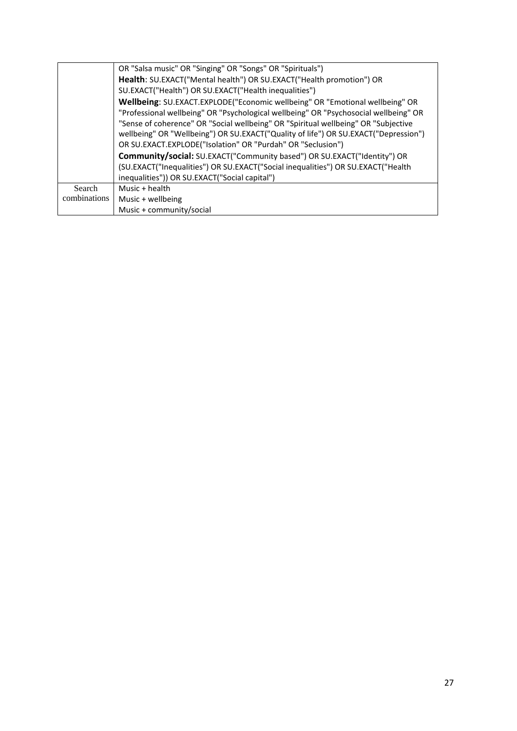|              | OR "Salsa music" OR "Singing" OR "Songs" OR "Spirituals")                            |
|--------------|--------------------------------------------------------------------------------------|
|              | Health: SU.EXACT("Mental health") OR SU.EXACT("Health promotion") OR                 |
|              | SU.EXACT("Health") OR SU.EXACT("Health inequalities")                                |
|              | Wellbeing: SU.EXACT.EXPLODE("Economic wellbeing" OR "Emotional wellbeing" OR         |
|              | "Professional wellbeing" OR "Psychological wellbeing" OR "Psychosocial wellbeing" OR |
|              | "Sense of coherence" OR "Social wellbeing" OR "Spiritual wellbeing" OR "Subjective   |
|              | wellbeing" OR "Wellbeing") OR SU.EXACT("Quality of life") OR SU.EXACT("Depression")  |
|              | OR SU.EXACT.EXPLODE("Isolation" OR "Purdah" OR "Seclusion")                          |
|              | Community/social: SU.EXACT("Community based") OR SU.EXACT("Identity") OR             |
|              | (SU.EXACT("Inequalities") OR SU.EXACT("Social inequalities") OR SU.EXACT("Health     |
|              | inequalities")) OR SU.EXACT("Social capital")                                        |
| Search       | Music + health                                                                       |
| combinations | Music + wellbeing                                                                    |
|              | Music + community/social                                                             |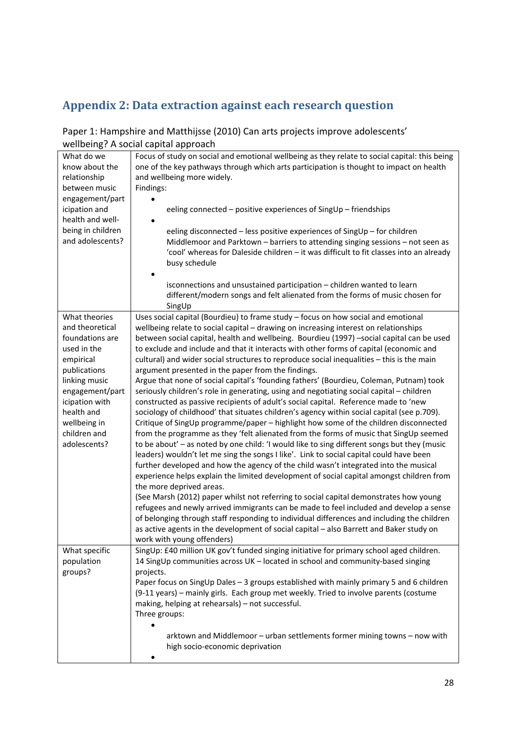# **Appendix 2: Data extraction against each research question**

#### Paper 1: Hampshire and Matthijsse (2010) Can arts projects improve adolescents' wellbeing? A social capital approach

|                              | wchbchig: A social capital approach                                                                                                                                                      |
|------------------------------|------------------------------------------------------------------------------------------------------------------------------------------------------------------------------------------|
| What do we<br>know about the | Focus of study on social and emotional wellbeing as they relate to social capital: this being<br>one of the key pathways through which arts participation is thought to impact on health |
| relationship                 | and wellbeing more widely.                                                                                                                                                               |
| between music                | Findings:                                                                                                                                                                                |
| engagement/part              |                                                                                                                                                                                          |
| icipation and                | eeling connected - positive experiences of SingUp - friendships                                                                                                                          |
| health and well-             |                                                                                                                                                                                          |
| being in children            |                                                                                                                                                                                          |
|                              | eeling disconnected - less positive experiences of SingUp - for children                                                                                                                 |
| and adolescents?             | Middlemoor and Parktown - barriers to attending singing sessions - not seen as                                                                                                           |
|                              | 'cool' whereas for Daleside children - it was difficult to fit classes into an already                                                                                                   |
|                              | busy schedule                                                                                                                                                                            |
|                              |                                                                                                                                                                                          |
|                              | isconnections and unsustained participation - children wanted to learn                                                                                                                   |
|                              | different/modern songs and felt alienated from the forms of music chosen for                                                                                                             |
|                              | SingUp                                                                                                                                                                                   |
| What theories                | Uses social capital (Bourdieu) to frame study - focus on how social and emotional                                                                                                        |
| and theoretical              | wellbeing relate to social capital - drawing on increasing interest on relationships                                                                                                     |
| foundations are              | between social capital, health and wellbeing. Bourdieu (1997) -social capital can be used                                                                                                |
| used in the                  | to exclude and include and that it interacts with other forms of capital (economic and                                                                                                   |
| empirical                    | cultural) and wider social structures to reproduce social inequalities - this is the main                                                                                                |
| publications                 | argument presented in the paper from the findings.                                                                                                                                       |
| linking music                | Argue that none of social capital's 'founding fathers' (Bourdieu, Coleman, Putnam) took                                                                                                  |
| engagement/part              | seriously children's role in generating, using and negotiating social capital - children                                                                                                 |
| icipation with               | constructed as passive recipients of adult's social capital. Reference made to 'new                                                                                                      |
| health and                   | sociology of childhood' that situates children's agency within social capital (see p.709).                                                                                               |
| wellbeing in                 | Critique of SingUp programme/paper - highlight how some of the children disconnected                                                                                                     |
| children and                 | from the programme as they 'felt alienated from the forms of music that SingUp seemed                                                                                                    |
| adolescents?                 | to be about' - as noted by one child: 'I would like to sing different songs but they (music                                                                                              |
|                              | leaders) wouldn't let me sing the songs I like'. Link to social capital could have been                                                                                                  |
|                              | further developed and how the agency of the child wasn't integrated into the musical                                                                                                     |
|                              | experience helps explain the limited development of social capital amongst children from                                                                                                 |
|                              | the more deprived areas.                                                                                                                                                                 |
|                              | (See Marsh (2012) paper whilst not referring to social capital demonstrates how young                                                                                                    |
|                              | refugees and newly arrived immigrants can be made to feel included and develop a sense                                                                                                   |
|                              | of belonging through staff responding to individual differences and including the children                                                                                               |
|                              |                                                                                                                                                                                          |
|                              | as active agents in the development of social capital - also Barrett and Baker study on                                                                                                  |
|                              | work with young offenders)                                                                                                                                                               |
| What specific                | SingUp: £40 million UK gov't funded singing initiative for primary school aged children.                                                                                                 |
| population                   | 14 SingUp communities across UK - located in school and community-based singing                                                                                                          |
| groups?                      | projects.                                                                                                                                                                                |
|                              | Paper focus on SingUp Dales - 3 groups established with mainly primary 5 and 6 children                                                                                                  |
|                              | (9-11 years) - mainly girls. Each group met weekly. Tried to involve parents (costume                                                                                                    |
|                              | making, helping at rehearsals) - not successful.                                                                                                                                         |
|                              | Three groups:                                                                                                                                                                            |
|                              |                                                                                                                                                                                          |
|                              | arktown and Middlemoor - urban settlements former mining towns - now with                                                                                                                |
|                              | high socio-economic deprivation                                                                                                                                                          |
|                              |                                                                                                                                                                                          |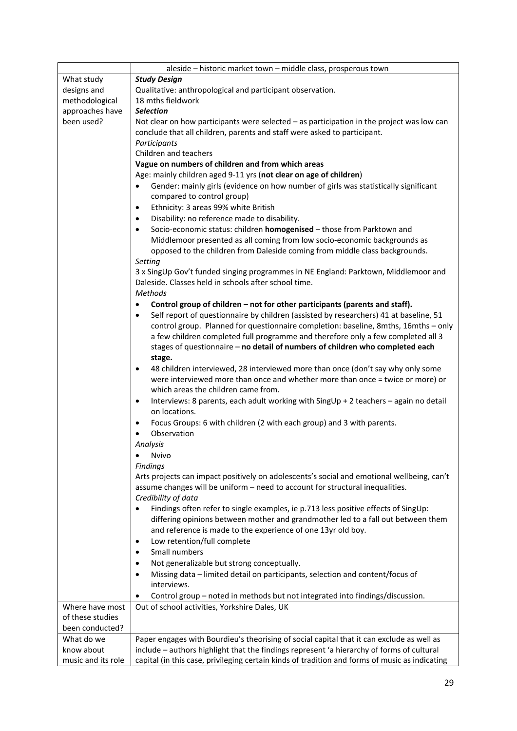|                    | aleside - historic market town - middle class, prosperous town                                    |
|--------------------|---------------------------------------------------------------------------------------------------|
| What study         | <b>Study Design</b>                                                                               |
| designs and        | Qualitative: anthropological and participant observation.                                         |
| methodological     | 18 mths fieldwork                                                                                 |
| approaches have    | <b>Selection</b>                                                                                  |
| been used?         | Not clear on how participants were selected $-$ as participation in the project was low can       |
|                    | conclude that all children, parents and staff were asked to participant.                          |
|                    | Participants                                                                                      |
|                    | Children and teachers                                                                             |
|                    | Vague on numbers of children and from which areas                                                 |
|                    | Age: mainly children aged 9-11 yrs (not clear on age of children)                                 |
|                    | Gender: mainly girls (evidence on how number of girls was statistically significant<br>$\bullet$  |
|                    | compared to control group)                                                                        |
|                    | Ethnicity: 3 areas 99% white British                                                              |
|                    | Disability: no reference made to disability.                                                      |
|                    | Socio-economic status: children homogenised - those from Parktown and<br>$\bullet$                |
|                    | Middlemoor presented as all coming from low socio-economic backgrounds as                         |
|                    | opposed to the children from Daleside coming from middle class backgrounds.                       |
|                    | Setting                                                                                           |
|                    | 3 x SingUp Gov't funded singing programmes in NE England: Parktown, Middlemoor and                |
|                    | Daleside. Classes held in schools after school time.                                              |
|                    | <b>Methods</b>                                                                                    |
|                    | Control group of children - not for other participants (parents and staff).                       |
|                    | Self report of questionnaire by children (assisted by researchers) 41 at baseline, 51             |
|                    | control group. Planned for questionnaire completion: baseline, 8mths, 16mths - only               |
|                    | a few children completed full programme and therefore only a few completed all 3                  |
|                    | stages of questionnaire - no detail of numbers of children who completed each                     |
|                    | stage.                                                                                            |
|                    | 48 children interviewed, 28 interviewed more than once (don't say why only some                   |
|                    | were interviewed more than once and whether more than once = twice or more) or                    |
|                    | which areas the children came from.                                                               |
|                    | Interviews: 8 parents, each adult working with SingUp + 2 teachers - again no detail<br>$\bullet$ |
|                    | on locations.                                                                                     |
|                    | Focus Groups: 6 with children (2 with each group) and 3 with parents.<br>$\bullet$                |
|                    | Observation                                                                                       |
|                    | Analysis                                                                                          |
|                    | Nvivo                                                                                             |
|                    | <b>Findings</b>                                                                                   |
|                    | Arts projects can impact positively on adolescents's social and emotional wellbeing, can't        |
|                    | assume changes will be uniform - need to account for structural inequalities.                     |
|                    | Credibility of data                                                                               |
|                    | Findings often refer to single examples, ie p.713 less positive effects of SingUp:                |
|                    | differing opinions between mother and grandmother led to a fall out between them                  |
|                    | and reference is made to the experience of one 13yr old boy.                                      |
|                    | Low retention/full complete                                                                       |
|                    | Small numbers                                                                                     |
|                    | Not generalizable but strong conceptually.                                                        |
|                    | Missing data - limited detail on participants, selection and content/focus of                     |
|                    | interviews.                                                                                       |
|                    | Control group - noted in methods but not integrated into findings/discussion.                     |
| Where have most    | Out of school activities, Yorkshire Dales, UK                                                     |
| of these studies   |                                                                                                   |
| been conducted?    |                                                                                                   |
| What do we         | Paper engages with Bourdieu's theorising of social capital that it can exclude as well as         |
| know about         | include - authors highlight that the findings represent 'a hierarchy of forms of cultural         |
| music and its role | capital (in this case, privileging certain kinds of tradition and forms of music as indicating    |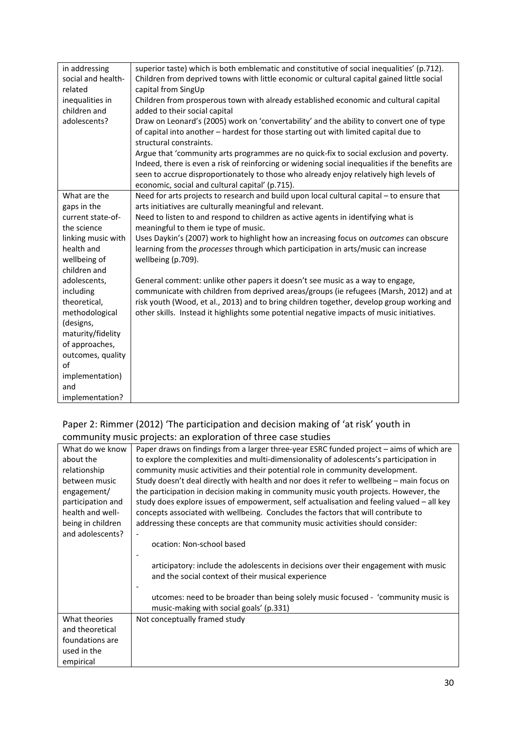| in addressing      | superior taste) which is both emblematic and constitutive of social inequalities' (p.712).      |
|--------------------|-------------------------------------------------------------------------------------------------|
| social and health- | Children from deprived towns with little economic or cultural capital gained little social      |
| related            | capital from SingUp                                                                             |
| inequalities in    | Children from prosperous town with already established economic and cultural capital            |
| children and       | added to their social capital                                                                   |
| adolescents?       | Draw on Leonard's (2005) work on 'convertability' and the ability to convert one of type        |
|                    | of capital into another - hardest for those starting out with limited capital due to            |
|                    | structural constraints.                                                                         |
|                    | Argue that 'community arts programmes are no quick-fix to social exclusion and poverty.         |
|                    | Indeed, there is even a risk of reinforcing or widening social inequalities if the benefits are |
|                    | seen to accrue disproportionately to those who already enjoy relatively high levels of          |
|                    | economic, social and cultural capital' (p.715).                                                 |
| What are the       | Need for arts projects to research and build upon local cultural capital - to ensure that       |
| gaps in the        | arts initiatives are culturally meaningful and relevant.                                        |
| current state-of-  | Need to listen to and respond to children as active agents in identifying what is               |
| the science        | meaningful to them ie type of music.                                                            |
| linking music with | Uses Daykin's (2007) work to highlight how an increasing focus on outcomes can obscure          |
| health and         | learning from the processes through which participation in arts/music can increase              |
| wellbeing of       | wellbeing (p.709).                                                                              |
| children and       |                                                                                                 |
| adolescents,       | General comment: unlike other papers it doesn't see music as a way to engage,                   |
| including          | communicate with children from deprived areas/groups (ie refugees (Marsh, 2012) and at          |
| theoretical,       | risk youth (Wood, et al., 2013) and to bring children together, develop group working and       |
| methodological     | other skills. Instead it highlights some potential negative impacts of music initiatives.       |
| (designs,          |                                                                                                 |
| maturity/fidelity  |                                                                                                 |
| of approaches,     |                                                                                                 |
| outcomes, quality  |                                                                                                 |
| of                 |                                                                                                 |
| implementation)    |                                                                                                 |
| and                |                                                                                                 |
| implementation?    |                                                                                                 |

#### Paper 2: Rimmer (2012) 'The participation and decision making of 'at risk' youth in community music projects: an exploration of three case studies

| What do we know   | Paper draws on findings from a larger three-year ESRC funded project - aims of which are    |
|-------------------|---------------------------------------------------------------------------------------------|
| about the         | to explore the complexities and multi-dimensionality of adolescents's participation in      |
| relationship      | community music activities and their potential role in community development.               |
| between music     | Study doesn't deal directly with health and nor does it refer to wellbeing - main focus on  |
| engagement/       | the participation in decision making in community music youth projects. However, the        |
| participation and | study does explore issues of empowerment, self actualisation and feeling valued $-$ all key |
| health and well-  | concepts associated with wellbeing. Concludes the factors that will contribute to           |
| being in children | addressing these concepts are that community music activities should consider:              |
| and adolescents?  |                                                                                             |
|                   | ocation: Non-school based                                                                   |
|                   |                                                                                             |
|                   | articipatory: include the adolescents in decisions over their engagement with music         |
|                   | and the social context of their musical experience                                          |
|                   |                                                                                             |
|                   | utcomes: need to be broader than being solely music focused - 'community music is           |
|                   | music-making with social goals' (p.331)                                                     |
| What theories     | Not conceptually framed study                                                               |
| and theoretical   |                                                                                             |
| foundations are   |                                                                                             |
| used in the       |                                                                                             |
| empirical         |                                                                                             |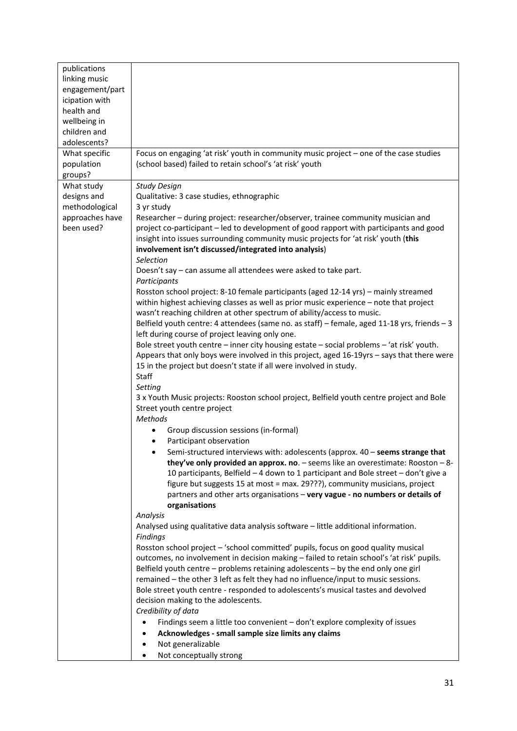| publications    |                                                                                                                                                                                                                                                         |
|-----------------|---------------------------------------------------------------------------------------------------------------------------------------------------------------------------------------------------------------------------------------------------------|
| linking music   |                                                                                                                                                                                                                                                         |
| engagement/part |                                                                                                                                                                                                                                                         |
| icipation with  |                                                                                                                                                                                                                                                         |
| health and      |                                                                                                                                                                                                                                                         |
| wellbeing in    |                                                                                                                                                                                                                                                         |
| children and    |                                                                                                                                                                                                                                                         |
| adolescents?    |                                                                                                                                                                                                                                                         |
| What specific   | Focus on engaging 'at risk' youth in community music project - one of the case studies                                                                                                                                                                  |
| population      | (school based) failed to retain school's 'at risk' youth                                                                                                                                                                                                |
| groups?         |                                                                                                                                                                                                                                                         |
| What study      | <b>Study Design</b>                                                                                                                                                                                                                                     |
| designs and     | Qualitative: 3 case studies, ethnographic                                                                                                                                                                                                               |
| methodological  | 3 yr study                                                                                                                                                                                                                                              |
| approaches have | Researcher - during project: researcher/observer, trainee community musician and                                                                                                                                                                        |
| been used?      | project co-participant – led to development of good rapport with participants and good<br>insight into issues surrounding community music projects for 'at risk' youth (this<br>involvement isn't discussed/integrated into analysis)                   |
|                 | Selection                                                                                                                                                                                                                                               |
|                 | Doesn't say – can assume all attendees were asked to take part.<br>Participants                                                                                                                                                                         |
|                 | Rosston school project: 8-10 female participants (aged 12-14 yrs) - mainly streamed<br>within highest achieving classes as well as prior music experience - note that project<br>wasn't reaching children at other spectrum of ability/access to music. |
|                 | Belfield youth centre: 4 attendees (same no. as staff) - female, aged 11-18 yrs, friends - 3<br>left during course of project leaving only one.                                                                                                         |
|                 | Bole street youth centre - inner city housing estate - social problems - 'at risk' youth.<br>Appears that only boys were involved in this project, aged 16-19yrs - says that there were                                                                 |
|                 | 15 in the project but doesn't state if all were involved in study.                                                                                                                                                                                      |
|                 | Staff                                                                                                                                                                                                                                                   |
|                 | Setting                                                                                                                                                                                                                                                 |
|                 | 3 x Youth Music projects: Rooston school project, Belfield youth centre project and Bole                                                                                                                                                                |
|                 | Street youth centre project                                                                                                                                                                                                                             |
|                 | <b>Methods</b>                                                                                                                                                                                                                                          |
|                 | Group discussion sessions (in-formal)                                                                                                                                                                                                                   |
|                 | Participant observation                                                                                                                                                                                                                                 |
|                 | Semi-structured interviews with: adolescents (approx. 40 - seems strange that<br>they've only provided an approx. no. $-$ seems like an overestimate: Rooston $-8$ -                                                                                    |
|                 | 10 participants, Belfield - 4 down to 1 participant and Bole street - don't give a                                                                                                                                                                      |
|                 | figure but suggests 15 at most = max. 29???), community musicians, project                                                                                                                                                                              |
|                 | partners and other arts organisations - very vague - no numbers or details of                                                                                                                                                                           |
|                 | organisations                                                                                                                                                                                                                                           |
|                 | Analysis                                                                                                                                                                                                                                                |
|                 | Analysed using qualitative data analysis software - little additional information.                                                                                                                                                                      |
|                 | <b>Findings</b><br>Rosston school project - 'school committed' pupils, focus on good quality musical                                                                                                                                                    |
|                 | outcomes, no involvement in decision making - failed to retain school's 'at risk' pupils.                                                                                                                                                               |
|                 | Belfield youth centre - problems retaining adolescents - by the end only one girl                                                                                                                                                                       |
|                 | remained - the other 3 left as felt they had no influence/input to music sessions.                                                                                                                                                                      |
|                 | Bole street youth centre - responded to adolescents's musical tastes and devolved                                                                                                                                                                       |
|                 | decision making to the adolescents.                                                                                                                                                                                                                     |
|                 | Credibility of data                                                                                                                                                                                                                                     |
|                 | Findings seem a little too convenient - don't explore complexity of issues                                                                                                                                                                              |
|                 | Acknowledges - small sample size limits any claims<br>٠                                                                                                                                                                                                 |
|                 | Not generalizable                                                                                                                                                                                                                                       |
|                 | Not conceptually strong                                                                                                                                                                                                                                 |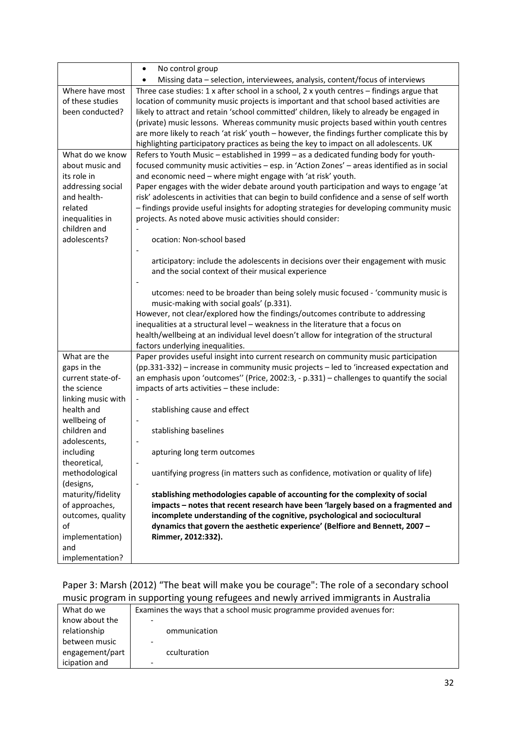|                              | No control group<br>$\bullet$                                                                                                                                   |
|------------------------------|-----------------------------------------------------------------------------------------------------------------------------------------------------------------|
|                              | Missing data - selection, interviewees, analysis, content/focus of interviews                                                                                   |
| Where have most              | Three case studies: 1 x after school in a school, 2 x youth centres - findings argue that                                                                       |
| of these studies             | location of community music projects is important and that school based activities are                                                                          |
| been conducted?              | likely to attract and retain 'school committed' children, likely to already be engaged in                                                                       |
|                              | (private) music lessons. Whereas community music projects based within youth centres                                                                            |
|                              | are more likely to reach 'at risk' youth - however, the findings further complicate this by                                                                     |
|                              | highlighting participatory practices as being the key to impact on all adolescents. UK                                                                          |
| What do we know              | Refers to Youth Music - established in 1999 - as a dedicated funding body for youth-                                                                            |
| about music and              | focused community music activities - esp. in 'Action Zones' - areas identified as in social                                                                     |
| its role in                  | and economic need - where might engage with 'at risk' youth.                                                                                                    |
| addressing social            | Paper engages with the wider debate around youth participation and ways to engage 'at                                                                           |
| and health-                  | risk' adolescents in activities that can begin to build confidence and a sense of self worth                                                                    |
| related                      | - findings provide useful insights for adopting strategies for developing community music                                                                       |
| inequalities in              | projects. As noted above music activities should consider:                                                                                                      |
| children and<br>adolescents? |                                                                                                                                                                 |
|                              | ocation: Non-school based                                                                                                                                       |
|                              | articipatory: include the adolescents in decisions over their engagement with music                                                                             |
|                              | and the social context of their musical experience                                                                                                              |
|                              |                                                                                                                                                                 |
|                              | utcomes: need to be broader than being solely music focused - 'community music is                                                                               |
|                              | music-making with social goals' (p.331).                                                                                                                        |
|                              | However, not clear/explored how the findings/outcomes contribute to addressing                                                                                  |
|                              | inequalities at a structural level - weakness in the literature that a focus on                                                                                 |
|                              | health/wellbeing at an individual level doesn't allow for integration of the structural                                                                         |
|                              | factors underlying inequalities.                                                                                                                                |
| What are the                 | Paper provides useful insight into current research on community music participation                                                                            |
| gaps in the                  | (pp.331-332) – increase in community music projects – led to 'increased expectation and                                                                         |
| current state-of-            | an emphasis upon 'outcomes'' (Price, 2002:3, - p.331) - challenges to quantify the social                                                                       |
| the science                  | impacts of arts activities - these include:                                                                                                                     |
| linking music with           |                                                                                                                                                                 |
| health and                   | stablishing cause and effect                                                                                                                                    |
| wellbeing of                 |                                                                                                                                                                 |
| children and                 | stablishing baselines                                                                                                                                           |
| adolescents,                 |                                                                                                                                                                 |
| including                    | apturing long term outcomes                                                                                                                                     |
| theoretical,                 |                                                                                                                                                                 |
| methodological               | uantifying progress (in matters such as confidence, motivation or quality of life)                                                                              |
| (designs,                    | $\overline{\phantom{0}}$                                                                                                                                        |
| maturity/fidelity            | stablishing methodologies capable of accounting for the complexity of social                                                                                    |
| of approaches,               | impacts - notes that recent research have been 'largely based on a fragmented and<br>incomplete understanding of the cognitive, psychological and sociocultural |
| outcomes, quality<br>οf      | dynamics that govern the aesthetic experience' (Belfiore and Bennett, 2007 -                                                                                    |
| implementation)              | Rimmer, 2012:332).                                                                                                                                              |
| and                          |                                                                                                                                                                 |
| implementation?              |                                                                                                                                                                 |
|                              |                                                                                                                                                                 |

## Paper 3: Marsh (2012) "The beat will make you be courage": The role of a secondary school music program in supporting young refugees and newly arrived immigrants in Australia

| What do we      | Examines the ways that a school music programme provided avenues for: |
|-----------------|-----------------------------------------------------------------------|
| know about the  | -                                                                     |
| relationship    | ommunication                                                          |
| between music   | -                                                                     |
| engagement/part | cculturation                                                          |
| icipation and   | $\overline{\phantom{0}}$                                              |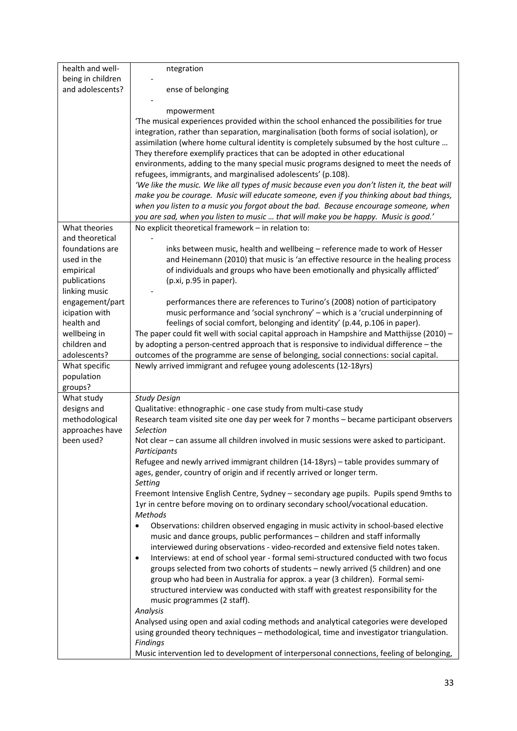| health and well-  | ntegration                                                                                                                                                               |
|-------------------|--------------------------------------------------------------------------------------------------------------------------------------------------------------------------|
| being in children |                                                                                                                                                                          |
| and adolescents?  | ense of belonging                                                                                                                                                        |
|                   |                                                                                                                                                                          |
|                   | mpowerment                                                                                                                                                               |
|                   | The musical experiences provided within the school enhanced the possibilities for true                                                                                   |
|                   | integration, rather than separation, marginalisation (both forms of social isolation), or                                                                                |
|                   | assimilation (where home cultural identity is completely subsumed by the host culture                                                                                    |
|                   | They therefore exemplify practices that can be adopted in other educational                                                                                              |
|                   | environments, adding to the many special music programs designed to meet the needs of                                                                                    |
|                   | refugees, immigrants, and marginalised adolescents' (p.108).                                                                                                             |
|                   | 'We like the music. We like all types of music because even you don't listen it, the beat will                                                                           |
|                   | make you be courage. Music will educate someone, even if you thinking about bad things,                                                                                  |
|                   | when you listen to a music you forgot about the bad. Because encourage someone, when                                                                                     |
|                   | you are sad, when you listen to music  that will make you be happy. Music is good.'                                                                                      |
| What theories     | No explicit theoretical framework - in relation to:                                                                                                                      |
| and theoretical   |                                                                                                                                                                          |
| foundations are   | inks between music, health and wellbeing - reference made to work of Hesser                                                                                              |
| used in the       | and Heinemann (2010) that music is 'an effective resource in the healing process                                                                                         |
| empirical         | of individuals and groups who have been emotionally and physically afflicted'                                                                                            |
| publications      | (p.xi, p.95 in paper).                                                                                                                                                   |
| linking music     |                                                                                                                                                                          |
| engagement/part   | performances there are references to Turino's (2008) notion of participatory                                                                                             |
| icipation with    | music performance and 'social synchrony' - which is a 'crucial underpinning of                                                                                           |
| health and        | feelings of social comfort, belonging and identity' (p.44, p.106 in paper).                                                                                              |
| wellbeing in      | The paper could fit well with social capital approach in Hampshire and Matthijsse (2010) -                                                                               |
| children and      | by adopting a person-centred approach that is responsive to individual difference - the                                                                                  |
| adolescents?      | outcomes of the programme are sense of belonging, social connections: social capital.                                                                                    |
|                   |                                                                                                                                                                          |
| What specific     | Newly arrived immigrant and refugee young adolescents (12-18yrs)                                                                                                         |
| population        |                                                                                                                                                                          |
| groups?           |                                                                                                                                                                          |
| What study        | <b>Study Design</b>                                                                                                                                                      |
| designs and       | Qualitative: ethnographic - one case study from multi-case study                                                                                                         |
| methodological    | Research team visited site one day per week for 7 months - became participant observers                                                                                  |
| approaches have   | Selection                                                                                                                                                                |
| been used?        | Not clear - can assume all children involved in music sessions were asked to participant.                                                                                |
|                   | Participants                                                                                                                                                             |
|                   | Refugee and newly arrived immigrant children (14-18yrs) - table provides summary of                                                                                      |
|                   | ages, gender, country of origin and if recently arrived or longer term.                                                                                                  |
|                   | Setting                                                                                                                                                                  |
|                   | Freemont Intensive English Centre, Sydney - secondary age pupils. Pupils spend 9mths to                                                                                  |
|                   | 1yr in centre before moving on to ordinary secondary school/vocational education.                                                                                        |
|                   | <b>Methods</b>                                                                                                                                                           |
|                   | Observations: children observed engaging in music activity in school-based elective                                                                                      |
|                   | music and dance groups, public performances - children and staff informally                                                                                              |
|                   | interviewed during observations - video-recorded and extensive field notes taken.<br>$\bullet$                                                                           |
|                   | Interviews: at end of school year - formal semi-structured conducted with two focus<br>groups selected from two cohorts of students - newly arrived (5 children) and one |
|                   | group who had been in Australia for approx. a year (3 children). Formal semi-                                                                                            |
|                   | structured interview was conducted with staff with greatest responsibility for the                                                                                       |
|                   | music programmes (2 staff).                                                                                                                                              |
|                   | Analysis                                                                                                                                                                 |
|                   | Analysed using open and axial coding methods and analytical categories were developed                                                                                    |
|                   | using grounded theory techniques - methodological, time and investigator triangulation.                                                                                  |
|                   | Findings                                                                                                                                                                 |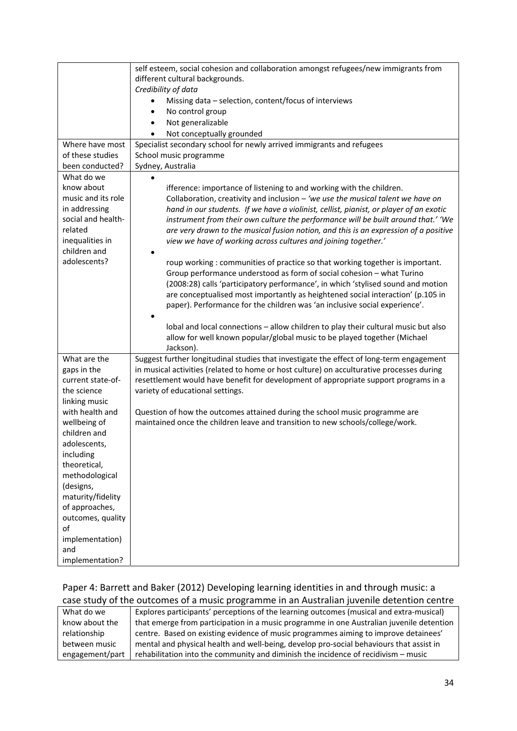|                                                                                                                                                                                                                                            | self esteem, social cohesion and collaboration amongst refugees/new immigrants from                                                                           |
|--------------------------------------------------------------------------------------------------------------------------------------------------------------------------------------------------------------------------------------------|---------------------------------------------------------------------------------------------------------------------------------------------------------------|
|                                                                                                                                                                                                                                            | different cultural backgrounds.                                                                                                                               |
|                                                                                                                                                                                                                                            | Credibility of data                                                                                                                                           |
|                                                                                                                                                                                                                                            | Missing data - selection, content/focus of interviews                                                                                                         |
|                                                                                                                                                                                                                                            | No control group<br>$\bullet$                                                                                                                                 |
|                                                                                                                                                                                                                                            | Not generalizable<br>$\bullet$                                                                                                                                |
|                                                                                                                                                                                                                                            | Not conceptually grounded                                                                                                                                     |
| Where have most                                                                                                                                                                                                                            | Specialist secondary school for newly arrived immigrants and refugees                                                                                         |
| of these studies                                                                                                                                                                                                                           | School music programme                                                                                                                                        |
| been conducted?                                                                                                                                                                                                                            | Sydney, Australia                                                                                                                                             |
| What do we                                                                                                                                                                                                                                 |                                                                                                                                                               |
| know about                                                                                                                                                                                                                                 | ifference: importance of listening to and working with the children.                                                                                          |
| music and its role                                                                                                                                                                                                                         | Collaboration, creativity and inclusion $-$ 'we use the musical talent we have on                                                                             |
| in addressing                                                                                                                                                                                                                              | hand in our students. If we have a violinist, cellist, pianist, or player of an exotic                                                                        |
| social and health-                                                                                                                                                                                                                         | instrument from their own culture the performance will be built around that.' 'We                                                                             |
| related                                                                                                                                                                                                                                    | are very drawn to the musical fusion notion, and this is an expression of a positive                                                                          |
| inequalities in                                                                                                                                                                                                                            | view we have of working across cultures and joining together.'                                                                                                |
| children and                                                                                                                                                                                                                               |                                                                                                                                                               |
| adolescents?                                                                                                                                                                                                                               | roup working: communities of practice so that working together is important.                                                                                  |
|                                                                                                                                                                                                                                            | Group performance understood as form of social cohesion - what Turino                                                                                         |
|                                                                                                                                                                                                                                            | (2008:28) calls 'participatory performance', in which 'stylised sound and motion                                                                              |
|                                                                                                                                                                                                                                            | are conceptualised most importantly as heightened social interaction' (p.105 in                                                                               |
|                                                                                                                                                                                                                                            | paper). Performance for the children was 'an inclusive social experience'.                                                                                    |
|                                                                                                                                                                                                                                            |                                                                                                                                                               |
|                                                                                                                                                                                                                                            | Iobal and local connections - allow children to play their cultural music but also                                                                            |
|                                                                                                                                                                                                                                            | allow for well known popular/global music to be played together (Michael                                                                                      |
|                                                                                                                                                                                                                                            | Jackson).                                                                                                                                                     |
| What are the                                                                                                                                                                                                                               | Suggest further longitudinal studies that investigate the effect of long-term engagement                                                                      |
| gaps in the                                                                                                                                                                                                                                | in musical activities (related to home or host culture) on acculturative processes during                                                                     |
| current state-of-                                                                                                                                                                                                                          | resettlement would have benefit for development of appropriate support programs in a                                                                          |
| the science                                                                                                                                                                                                                                | variety of educational settings.                                                                                                                              |
| linking music                                                                                                                                                                                                                              |                                                                                                                                                               |
|                                                                                                                                                                                                                                            |                                                                                                                                                               |
|                                                                                                                                                                                                                                            |                                                                                                                                                               |
|                                                                                                                                                                                                                                            |                                                                                                                                                               |
|                                                                                                                                                                                                                                            |                                                                                                                                                               |
|                                                                                                                                                                                                                                            |                                                                                                                                                               |
|                                                                                                                                                                                                                                            |                                                                                                                                                               |
|                                                                                                                                                                                                                                            |                                                                                                                                                               |
|                                                                                                                                                                                                                                            |                                                                                                                                                               |
|                                                                                                                                                                                                                                            |                                                                                                                                                               |
|                                                                                                                                                                                                                                            |                                                                                                                                                               |
|                                                                                                                                                                                                                                            |                                                                                                                                                               |
|                                                                                                                                                                                                                                            |                                                                                                                                                               |
|                                                                                                                                                                                                                                            |                                                                                                                                                               |
|                                                                                                                                                                                                                                            |                                                                                                                                                               |
|                                                                                                                                                                                                                                            |                                                                                                                                                               |
| with health and<br>wellbeing of<br>children and<br>adolescents,<br>including<br>theoretical,<br>methodological<br>(designs,<br>maturity/fidelity<br>of approaches,<br>outcomes, quality<br>of<br>implementation)<br>and<br>implementation? | Question of how the outcomes attained during the school music programme are<br>maintained once the children leave and transition to new schools/college/work. |

## Paper 4: Barrett and Baker (2012) Developing learning identities in and through music: a case study of the outcomes of a music programme in an Australian juvenile detention centre

| What do we      | Explores participants' perceptions of the learning outcomes (musical and extra-musical)  |
|-----------------|------------------------------------------------------------------------------------------|
| know about the  | that emerge from participation in a music programme in one Australian juvenile detention |
| relationship    | centre. Based on existing evidence of music programmes aiming to improve detainees'      |
| between music   | mental and physical health and well-being, develop pro-social behaviours that assist in  |
| engagement/part | rehabilitation into the community and diminish the incidence of recidivism – music       |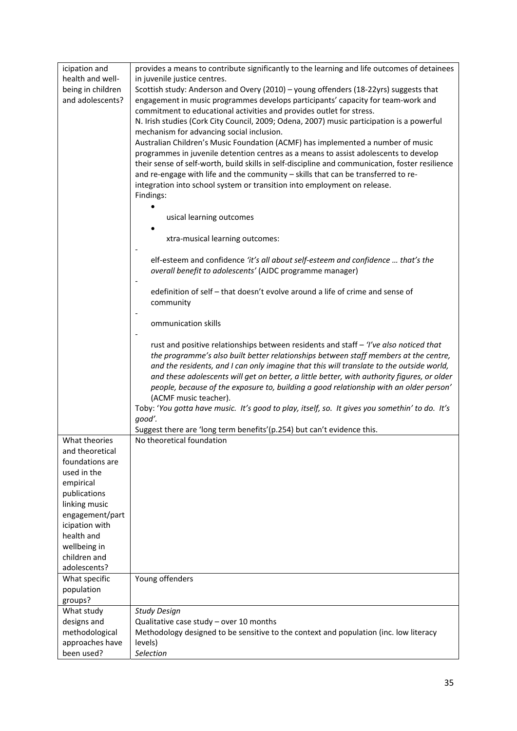| icipation and                     | provides a means to contribute significantly to the learning and life outcomes of detainees                                                                             |
|-----------------------------------|-------------------------------------------------------------------------------------------------------------------------------------------------------------------------|
| health and well-                  | in juvenile justice centres.                                                                                                                                            |
| being in children                 | Scottish study: Anderson and Overy (2010) - young offenders (18-22yrs) suggests that                                                                                    |
| and adolescents?                  | engagement in music programmes develops participants' capacity for team-work and                                                                                        |
|                                   | commitment to educational activities and provides outlet for stress.                                                                                                    |
|                                   | N. Irish studies (Cork City Council, 2009; Odena, 2007) music participation is a powerful                                                                               |
|                                   | mechanism for advancing social inclusion.                                                                                                                               |
|                                   | Australian Children's Music Foundation (ACMF) has implemented a number of music<br>programmes in juvenile detention centres as a means to assist adolescents to develop |
|                                   | their sense of self-worth, build skills in self-discipline and communication, foster resilience                                                                         |
|                                   | and re-engage with life and the community - skills that can be transferred to re-                                                                                       |
|                                   | integration into school system or transition into employment on release.                                                                                                |
|                                   | Findings:                                                                                                                                                               |
|                                   |                                                                                                                                                                         |
|                                   | usical learning outcomes                                                                                                                                                |
|                                   | xtra-musical learning outcomes:                                                                                                                                         |
|                                   |                                                                                                                                                                         |
|                                   | elf-esteem and confidence 'it's all about self-esteem and confidence  that's the                                                                                        |
|                                   | overall benefit to adolescents' (AJDC programme manager)                                                                                                                |
|                                   | edefinition of self - that doesn't evolve around a life of crime and sense of                                                                                           |
|                                   | community                                                                                                                                                               |
|                                   |                                                                                                                                                                         |
|                                   | ommunication skills                                                                                                                                                     |
|                                   |                                                                                                                                                                         |
|                                   | rust and positive relationships between residents and staff - 'I've also noticed that                                                                                   |
|                                   | the programme's also built better relationships between staff members at the centre,                                                                                    |
|                                   | and the residents, and I can only imagine that this will translate to the outside world,                                                                                |
|                                   | and these adolescents will get on better, a little better, with authority figures, or older                                                                             |
|                                   | people, because of the exposure to, building a good relationship with an older person'<br>(ACMF music teacher).                                                         |
|                                   | Toby: 'You gotta have music. It's good to play, itself, so. It gives you somethin' to do. It's                                                                          |
|                                   | good'.                                                                                                                                                                  |
|                                   | Suggest there are 'long term benefits' (p.254) but can't evidence this.                                                                                                 |
| What theories                     | No theoretical foundation                                                                                                                                               |
| and theoretical                   |                                                                                                                                                                         |
| foundations are                   |                                                                                                                                                                         |
| used in the                       |                                                                                                                                                                         |
| empirical                         |                                                                                                                                                                         |
| publications                      |                                                                                                                                                                         |
| linking music                     |                                                                                                                                                                         |
| engagement/part<br>icipation with |                                                                                                                                                                         |
| health and                        |                                                                                                                                                                         |
| wellbeing in                      |                                                                                                                                                                         |
| children and                      |                                                                                                                                                                         |
| adolescents?                      |                                                                                                                                                                         |
| What specific                     | Young offenders                                                                                                                                                         |
| population                        |                                                                                                                                                                         |
| groups?                           |                                                                                                                                                                         |
| What study                        | <b>Study Design</b>                                                                                                                                                     |
| designs and                       | Qualitative case study - over 10 months                                                                                                                                 |
| methodological<br>approaches have | Methodology designed to be sensitive to the context and population (inc. low literacy<br>levels)                                                                        |
| been used?                        | Selection                                                                                                                                                               |
|                                   |                                                                                                                                                                         |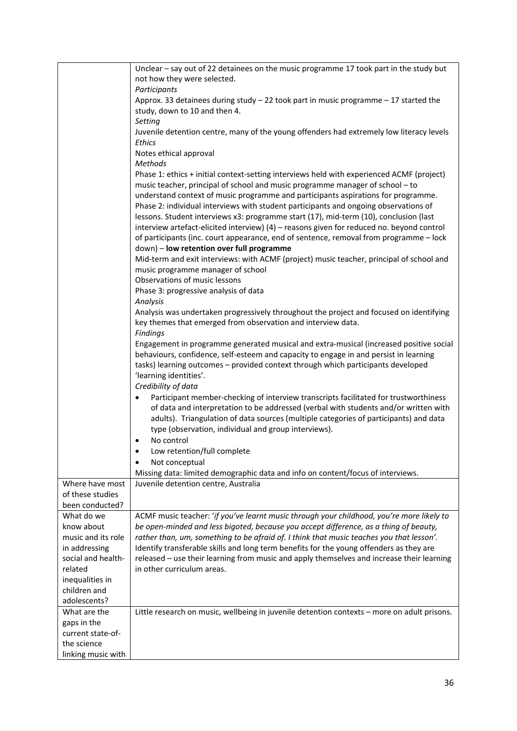|                    | Unclear - say out of 22 detainees on the music programme 17 took part in the study but      |
|--------------------|---------------------------------------------------------------------------------------------|
|                    | not how they were selected.                                                                 |
|                    | Participants                                                                                |
|                    | Approx. 33 detainees during study $-$ 22 took part in music programme $-$ 17 started the    |
|                    | study, down to 10 and then 4.                                                               |
|                    | Setting                                                                                     |
|                    | Juvenile detention centre, many of the young offenders had extremely low literacy levels    |
|                    |                                                                                             |
|                    | Ethics                                                                                      |
|                    | Notes ethical approval                                                                      |
|                    | <b>Methods</b>                                                                              |
|                    | Phase 1: ethics + initial context-setting interviews held with experienced ACMF (project)   |
|                    | music teacher, principal of school and music programme manager of school - to               |
|                    | understand context of music programme and participants aspirations for programme.           |
|                    | Phase 2: individual interviews with student participants and ongoing observations of        |
|                    | lessons. Student interviews x3: programme start (17), mid-term (10), conclusion (last       |
|                    | interview artefact-elicited interview) (4) - reasons given for reduced no. beyond control   |
|                    | of participants (inc. court appearance, end of sentence, removal from programme - lock      |
|                    |                                                                                             |
|                    | down) - low retention over full programme                                                   |
|                    | Mid-term and exit interviews: with ACMF (project) music teacher, principal of school and    |
|                    | music programme manager of school                                                           |
|                    | Observations of music lessons                                                               |
|                    | Phase 3: progressive analysis of data                                                       |
|                    | Analysis                                                                                    |
|                    | Analysis was undertaken progressively throughout the project and focused on identifying     |
|                    | key themes that emerged from observation and interview data.                                |
|                    | <b>Findings</b>                                                                             |
|                    | Engagement in programme generated musical and extra-musical (increased positive social      |
|                    | behaviours, confidence, self-esteem and capacity to engage in and persist in learning       |
|                    |                                                                                             |
|                    | tasks) learning outcomes - provided context through which participants developed            |
|                    | 'learning identities'.                                                                      |
|                    | Credibility of data                                                                         |
|                    | Participant member-checking of interview transcripts facilitated for trustworthiness        |
|                    | of data and interpretation to be addressed (verbal with students and/or written with        |
|                    | adults). Triangulation of data sources (multiple categories of participants) and data       |
|                    | type (observation, individual and group interviews).                                        |
|                    | No control                                                                                  |
|                    | Low retention/full complete                                                                 |
|                    |                                                                                             |
|                    | Not conceptual                                                                              |
|                    | Missing data: limited demographic data and info on content/focus of interviews.             |
| Where have most    | Juvenile detention centre, Australia                                                        |
| of these studies   |                                                                                             |
| been conducted?    |                                                                                             |
| What do we         | ACMF music teacher: 'if you've learnt music through your childhood, you're more likely to   |
| know about         | be open-minded and less bigoted, because you accept difference, as a thing of beauty,       |
| music and its role | rather than, um, something to be afraid of. I think that music teaches you that lesson'.    |
| in addressing      | Identify transferable skills and long term benefits for the young offenders as they are     |
| social and health- | released - use their learning from music and apply themselves and increase their learning   |
| related            | in other curriculum areas.                                                                  |
| inequalities in    |                                                                                             |
| children and       |                                                                                             |
|                    |                                                                                             |
| adolescents?       |                                                                                             |
| What are the       | Little research on music, wellbeing in juvenile detention contexts - more on adult prisons. |
| gaps in the        |                                                                                             |
| current state-of-  |                                                                                             |
| the science        |                                                                                             |
| linking music with |                                                                                             |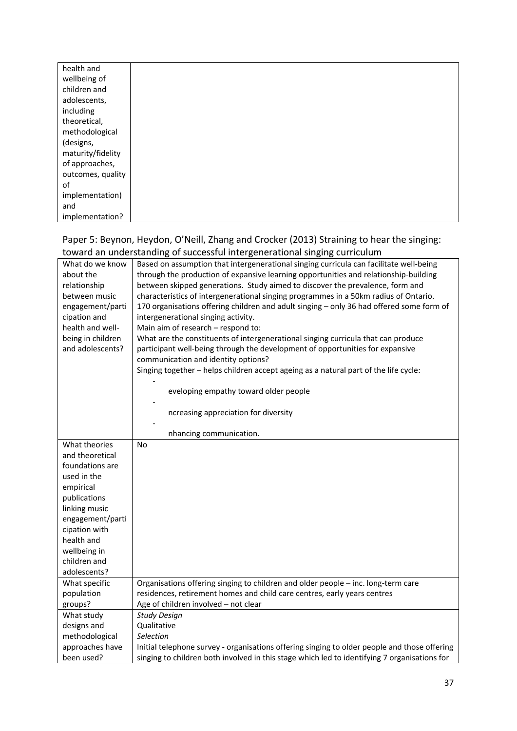| health and        |  |
|-------------------|--|
| wellbeing of      |  |
| children and      |  |
| adolescents,      |  |
| including         |  |
| theoretical,      |  |
| methodological    |  |
| (designs,         |  |
| maturity/fidelity |  |
| of approaches,    |  |
| outcomes, quality |  |
| of                |  |
| implementation)   |  |
| and               |  |
| implementation?   |  |

#### Paper 5: Beynon, Heydon, O'Neill, Zhang and Crocker (2013) Straining to hear the singing: toward an understanding of successful intergenerational singing curriculum

|                   | towaru an unucrstanung or successium intergenerational singing curriculum                    |
|-------------------|----------------------------------------------------------------------------------------------|
| What do we know   | Based on assumption that intergenerational singing curricula can facilitate well-being       |
| about the         | through the production of expansive learning opportunities and relationship-building         |
| relationship      | between skipped generations. Study aimed to discover the prevalence, form and                |
| between music     | characteristics of intergenerational singing programmes in a 50km radius of Ontario.         |
| engagement/parti  | 170 organisations offering children and adult singing - only 36 had offered some form of     |
| cipation and      | intergenerational singing activity.                                                          |
| health and well-  | Main aim of research - respond to:                                                           |
| being in children | What are the constituents of intergenerational singing curricula that can produce            |
| and adolescents?  | participant well-being through the development of opportunities for expansive                |
|                   | communication and identity options?                                                          |
|                   | Singing together - helps children accept ageing as a natural part of the life cycle:         |
|                   | eveloping empathy toward older people                                                        |
|                   |                                                                                              |
|                   | ncreasing appreciation for diversity                                                         |
|                   |                                                                                              |
|                   | nhancing communication.                                                                      |
| What theories     | No                                                                                           |
| and theoretical   |                                                                                              |
| foundations are   |                                                                                              |
| used in the       |                                                                                              |
| empirical         |                                                                                              |
| publications      |                                                                                              |
| linking music     |                                                                                              |
| engagement/parti  |                                                                                              |
| cipation with     |                                                                                              |
| health and        |                                                                                              |
| wellbeing in      |                                                                                              |
| children and      |                                                                                              |
| adolescents?      |                                                                                              |
| What specific     | Organisations offering singing to children and older people - inc. long-term care            |
| population        | residences, retirement homes and child care centres, early years centres                     |
| groups?           | Age of children involved - not clear                                                         |
| What study        | <b>Study Design</b>                                                                          |
| designs and       | Qualitative                                                                                  |
| methodological    | Selection                                                                                    |
| approaches have   | Initial telephone survey - organisations offering singing to older people and those offering |
| been used?        | singing to children both involved in this stage which led to identifying 7 organisations for |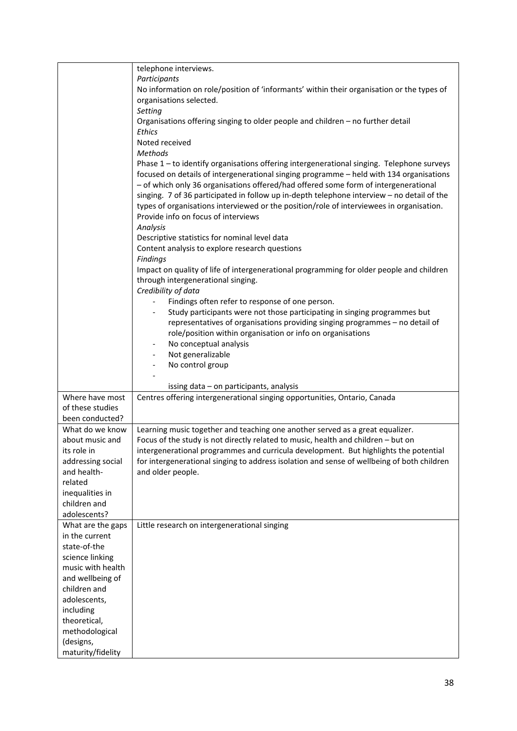|                             | telephone interviews.                                                                                                                                                                |
|-----------------------------|--------------------------------------------------------------------------------------------------------------------------------------------------------------------------------------|
|                             | Participants                                                                                                                                                                         |
|                             | No information on role/position of 'informants' within their organisation or the types of                                                                                            |
|                             | organisations selected.                                                                                                                                                              |
|                             | Setting                                                                                                                                                                              |
|                             | Organisations offering singing to older people and children - no further detail                                                                                                      |
|                             | Ethics                                                                                                                                                                               |
|                             |                                                                                                                                                                                      |
|                             | Noted received                                                                                                                                                                       |
|                             | <b>Methods</b>                                                                                                                                                                       |
|                             | Phase 1 - to identify organisations offering intergenerational singing. Telephone surveys<br>focused on details of intergenerational singing programme - held with 134 organisations |
|                             | - of which only 36 organisations offered/had offered some form of intergenerational                                                                                                  |
|                             | singing. 7 of 36 participated in follow up in-depth telephone interview - no detail of the                                                                                           |
|                             | types of organisations interviewed or the position/role of interviewees in organisation.                                                                                             |
|                             | Provide info on focus of interviews                                                                                                                                                  |
|                             | Analysis                                                                                                                                                                             |
|                             | Descriptive statistics for nominal level data                                                                                                                                        |
|                             | Content analysis to explore research questions                                                                                                                                       |
|                             | Findings                                                                                                                                                                             |
|                             | Impact on quality of life of intergenerational programming for older people and children                                                                                             |
|                             | through intergenerational singing.                                                                                                                                                   |
|                             | Credibility of data                                                                                                                                                                  |
|                             | Findings often refer to response of one person.                                                                                                                                      |
|                             | Study participants were not those participating in singing programmes but                                                                                                            |
|                             | representatives of organisations providing singing programmes - no detail of                                                                                                         |
|                             | role/position within organisation or info on organisations                                                                                                                           |
|                             | No conceptual analysis<br>$\overline{\phantom{m}}$                                                                                                                                   |
|                             | Not generalizable                                                                                                                                                                    |
|                             | No control group                                                                                                                                                                     |
|                             |                                                                                                                                                                                      |
|                             | issing data - on participants, analysis                                                                                                                                              |
| Where have most             | Centres offering intergenerational singing opportunities, Ontario, Canada                                                                                                            |
| of these studies            |                                                                                                                                                                                      |
| been conducted?             |                                                                                                                                                                                      |
|                             |                                                                                                                                                                                      |
| What do we know             | Learning music together and teaching one another served as a great equalizer.                                                                                                        |
| about music and             | Focus of the study is not directly related to music, health and children - but on                                                                                                    |
| its role in                 | intergenerational programmes and curricula development. But highlights the potential                                                                                                 |
| addressing social           | for intergenerational singing to address isolation and sense of wellbeing of both children                                                                                           |
| and health-                 | and older people.                                                                                                                                                                    |
| related                     |                                                                                                                                                                                      |
| inequalities in             |                                                                                                                                                                                      |
| children and                |                                                                                                                                                                                      |
| adolescents?                |                                                                                                                                                                                      |
| What are the gaps           | Little research on intergenerational singing                                                                                                                                         |
| in the current              |                                                                                                                                                                                      |
| state-of-the                |                                                                                                                                                                                      |
| science linking             |                                                                                                                                                                                      |
| music with health           |                                                                                                                                                                                      |
| and wellbeing of            |                                                                                                                                                                                      |
| children and                |                                                                                                                                                                                      |
| adolescents,                |                                                                                                                                                                                      |
| including                   |                                                                                                                                                                                      |
|                             |                                                                                                                                                                                      |
| theoretical,                |                                                                                                                                                                                      |
|                             |                                                                                                                                                                                      |
| methodological<br>(designs, |                                                                                                                                                                                      |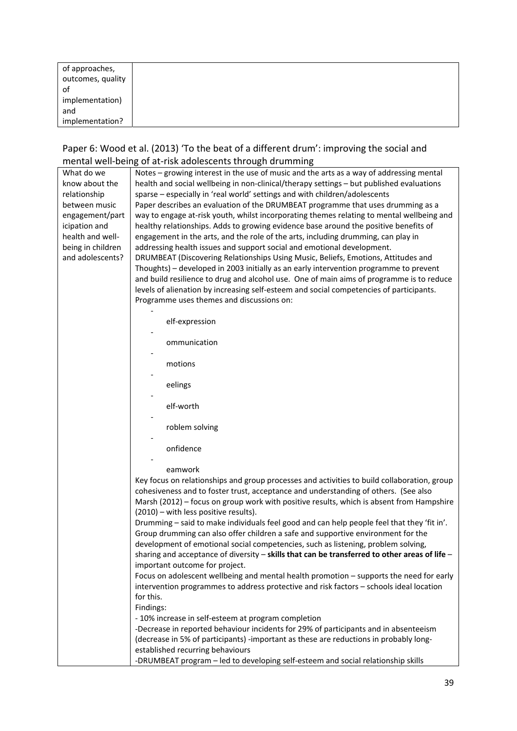| of approaches,    |  |
|-------------------|--|
| outcomes, quality |  |
| 0f                |  |
| implementation)   |  |
| and               |  |
| implementation?   |  |

#### Paper 6: Wood et al. (2013) 'To the beat of a different drum': improving the social and mental well‐being of at‐risk adolescents through drumming

| What do we        | Notes – growing interest in the use of music and the arts as a way of addressing mental              |
|-------------------|------------------------------------------------------------------------------------------------------|
| know about the    | health and social wellbeing in non-clinical/therapy settings - but published evaluations             |
| relationship      | sparse - especially in 'real world' settings and with children/adolescents                           |
| between music     | Paper describes an evaluation of the DRUMBEAT programme that uses drumming as a                      |
| engagement/part   | way to engage at-risk youth, whilst incorporating themes relating to mental wellbeing and            |
| icipation and     | healthy relationships. Adds to growing evidence base around the positive benefits of                 |
| health and well-  | engagement in the arts, and the role of the arts, including drumming, can play in                    |
| being in children | addressing health issues and support social and emotional development.                               |
| and adolescents?  | DRUMBEAT (Discovering Relationships Using Music, Beliefs, Emotions, Attitudes and                    |
|                   | Thoughts) - developed in 2003 initially as an early intervention programme to prevent                |
|                   | and build resilience to drug and alcohol use. One of main aims of programme is to reduce             |
|                   | levels of alienation by increasing self-esteem and social competencies of participants.              |
|                   | Programme uses themes and discussions on:                                                            |
|                   | elf-expression                                                                                       |
|                   |                                                                                                      |
|                   | ommunication                                                                                         |
|                   | motions                                                                                              |
|                   |                                                                                                      |
|                   | eelings                                                                                              |
|                   |                                                                                                      |
|                   | elf-worth                                                                                            |
|                   | roblem solving                                                                                       |
|                   |                                                                                                      |
|                   | onfidence                                                                                            |
|                   |                                                                                                      |
|                   | eamwork                                                                                              |
|                   | Key focus on relationships and group processes and activities to build collaboration, group          |
|                   | cohesiveness and to foster trust, acceptance and understanding of others. (See also                  |
|                   | Marsh (2012) – focus on group work with positive results, which is absent from Hampshire             |
|                   | (2010) - with less positive results).                                                                |
|                   | Drumming - said to make individuals feel good and can help people feel that they 'fit in'.           |
|                   | Group drumming can also offer children a safe and supportive environment for the                     |
|                   | development of emotional social competencies, such as listening, problem solving,                    |
|                   | sharing and acceptance of diversity - skills that can be transferred to other areas of life -        |
|                   | important outcome for project.                                                                       |
|                   | Focus on adolescent wellbeing and mental health promotion - supports the need for early              |
|                   | intervention programmes to address protective and risk factors - schools ideal location<br>for this. |
|                   | Findings:                                                                                            |
|                   | - 10% increase in self-esteem at program completion                                                  |
|                   | -Decrease in reported behaviour incidents for 29% of participants and in absenteeism                 |
|                   | (decrease in 5% of participants) -important as these are reductions in probably long-                |
|                   | established recurring behaviours                                                                     |
|                   | -DRUMBEAT program - led to developing self-esteem and social relationship skills                     |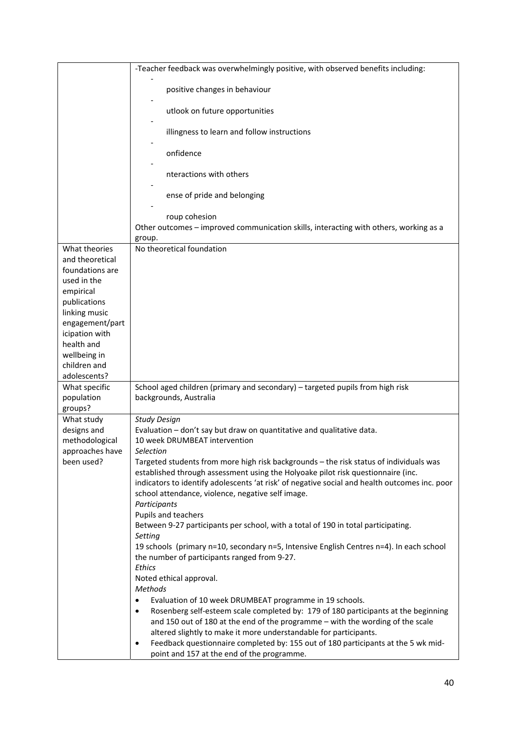|                               | -Teacher feedback was overwhelmingly positive, with observed benefits including:                                                                                                  |
|-------------------------------|-----------------------------------------------------------------------------------------------------------------------------------------------------------------------------------|
|                               | positive changes in behaviour                                                                                                                                                     |
|                               | utlook on future opportunities                                                                                                                                                    |
|                               | illingness to learn and follow instructions                                                                                                                                       |
|                               | onfidence                                                                                                                                                                         |
|                               | nteractions with others                                                                                                                                                           |
|                               | ense of pride and belonging                                                                                                                                                       |
|                               | roup cohesion                                                                                                                                                                     |
|                               | Other outcomes - improved communication skills, interacting with others, working as a<br>group.                                                                                   |
| What theories                 | No theoretical foundation                                                                                                                                                         |
| and theoretical               |                                                                                                                                                                                   |
| foundations are               |                                                                                                                                                                                   |
| used in the                   |                                                                                                                                                                                   |
| empirical                     |                                                                                                                                                                                   |
| publications                  |                                                                                                                                                                                   |
| linking music                 |                                                                                                                                                                                   |
| engagement/part               |                                                                                                                                                                                   |
| icipation with<br>health and  |                                                                                                                                                                                   |
| wellbeing in                  |                                                                                                                                                                                   |
| children and                  |                                                                                                                                                                                   |
| adolescents?                  |                                                                                                                                                                                   |
| What specific                 | School aged children (primary and secondary) - targeted pupils from high risk                                                                                                     |
| population                    | backgrounds, Australia                                                                                                                                                            |
| groups?                       |                                                                                                                                                                                   |
| What study                    | <b>Study Design</b>                                                                                                                                                               |
| designs and                   | Evaluation - don't say but draw on quantitative and qualitative data.                                                                                                             |
| methodological                | 10 week DRUMBEAT intervention                                                                                                                                                     |
| approaches have<br>been used? | Selection                                                                                                                                                                         |
|                               | Targeted students from more high risk backgrounds - the risk status of individuals was<br>established through assessment using the Holyoake pilot risk questionnaire (inc.        |
|                               | indicators to identify adolescents 'at risk' of negative social and health outcomes inc. poor                                                                                     |
|                               | school attendance, violence, negative self image.                                                                                                                                 |
|                               | Participants                                                                                                                                                                      |
|                               | Pupils and teachers                                                                                                                                                               |
|                               | Between 9-27 participants per school, with a total of 190 in total participating.                                                                                                 |
|                               | Setting                                                                                                                                                                           |
|                               | 19 schools (primary n=10, secondary n=5, Intensive English Centres n=4). In each school                                                                                           |
|                               | the number of participants ranged from 9-27.                                                                                                                                      |
|                               | Ethics                                                                                                                                                                            |
|                               | Noted ethical approval.                                                                                                                                                           |
|                               | <b>Methods</b>                                                                                                                                                                    |
|                               | Evaluation of 10 week DRUMBEAT programme in 19 schools.<br>٠                                                                                                                      |
|                               | Rosenberg self-esteem scale completed by: 179 of 180 participants at the beginning<br>$\bullet$<br>and 150 out of 180 at the end of the programme - with the wording of the scale |
|                               | altered slightly to make it more understandable for participants.                                                                                                                 |
|                               | Feedback questionnaire completed by: 155 out of 180 participants at the 5 wk mid-                                                                                                 |
|                               | point and 157 at the end of the programme.                                                                                                                                        |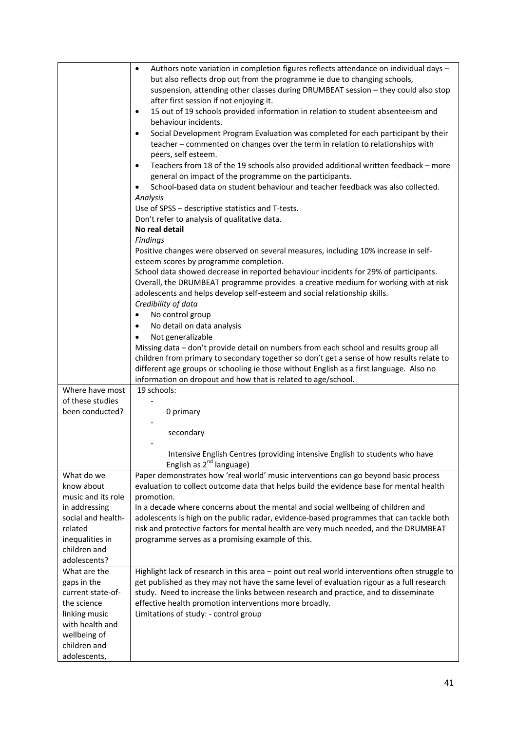|                    | Authors note variation in completion figures reflects attendance on individual days -<br>$\bullet$<br>but also reflects drop out from the programme ie due to changing schools, |
|--------------------|---------------------------------------------------------------------------------------------------------------------------------------------------------------------------------|
|                    | suspension, attending other classes during DRUMBEAT session - they could also stop<br>after first session if not enjoying it.                                                   |
|                    | 15 out of 19 schools provided information in relation to student absenteeism and<br>$\bullet$                                                                                   |
|                    | behaviour incidents.                                                                                                                                                            |
|                    | Social Development Program Evaluation was completed for each participant by their<br>$\bullet$                                                                                  |
|                    | teacher - commented on changes over the term in relation to relationships with<br>peers, self esteem.                                                                           |
|                    | Teachers from 18 of the 19 schools also provided additional written feedback - more<br>general on impact of the programme on the participants.                                  |
|                    | School-based data on student behaviour and teacher feedback was also collected.                                                                                                 |
|                    | Analysis                                                                                                                                                                        |
|                    | Use of SPSS - descriptive statistics and T-tests.                                                                                                                               |
|                    | Don't refer to analysis of qualitative data.<br>No real detail                                                                                                                  |
|                    | <b>Findings</b>                                                                                                                                                                 |
|                    | Positive changes were observed on several measures, including 10% increase in self-                                                                                             |
|                    | esteem scores by programme completion.                                                                                                                                          |
|                    | School data showed decrease in reported behaviour incidents for 29% of participants.                                                                                            |
|                    | Overall, the DRUMBEAT programme provides a creative medium for working with at risk                                                                                             |
|                    | adolescents and helps develop self-esteem and social relationship skills.                                                                                                       |
|                    | Credibility of data                                                                                                                                                             |
|                    | No control group<br>$\bullet$                                                                                                                                                   |
|                    | No detail on data analysis<br>$\bullet$                                                                                                                                         |
|                    | Not generalizable                                                                                                                                                               |
|                    | Missing data - don't provide detail on numbers from each school and results group all                                                                                           |
|                    | children from primary to secondary together so don't get a sense of how results relate to                                                                                       |
|                    | different age groups or schooling ie those without English as a first language. Also no                                                                                         |
|                    | information on dropout and how that is related to age/school.                                                                                                                   |
| Where have most    | 19 schools:                                                                                                                                                                     |
| of these studies   |                                                                                                                                                                                 |
| been conducted?    | 0 primary                                                                                                                                                                       |
|                    |                                                                                                                                                                                 |
|                    | secondary                                                                                                                                                                       |
|                    |                                                                                                                                                                                 |
|                    | Intensive English Centres (providing intensive English to students who have<br>English as 2 <sup>nd</sup> language)                                                             |
| What do we         | Paper demonstrates how 'real world' music interventions can go beyond basic process                                                                                             |
| know about         | evaluation to collect outcome data that helps build the evidence base for mental health                                                                                         |
| music and its role | promotion.                                                                                                                                                                      |
| in addressing      | In a decade where concerns about the mental and social wellbeing of children and                                                                                                |
| social and health- | adolescents is high on the public radar, evidence-based programmes that can tackle both                                                                                         |
| related            | risk and protective factors for mental health are very much needed, and the DRUMBEAT                                                                                            |
| inequalities in    | programme serves as a promising example of this.                                                                                                                                |
| children and       |                                                                                                                                                                                 |
| adolescents?       |                                                                                                                                                                                 |
| What are the       | Highlight lack of research in this area - point out real world interventions often struggle to                                                                                  |
| gaps in the        | get published as they may not have the same level of evaluation rigour as a full research                                                                                       |
| current state-of-  | study. Need to increase the links between research and practice, and to disseminate                                                                                             |
| the science        | effective health promotion interventions more broadly.                                                                                                                          |
| linking music      | Limitations of study: - control group                                                                                                                                           |
| with health and    |                                                                                                                                                                                 |
| wellbeing of       |                                                                                                                                                                                 |
| children and       |                                                                                                                                                                                 |
| adolescents,       |                                                                                                                                                                                 |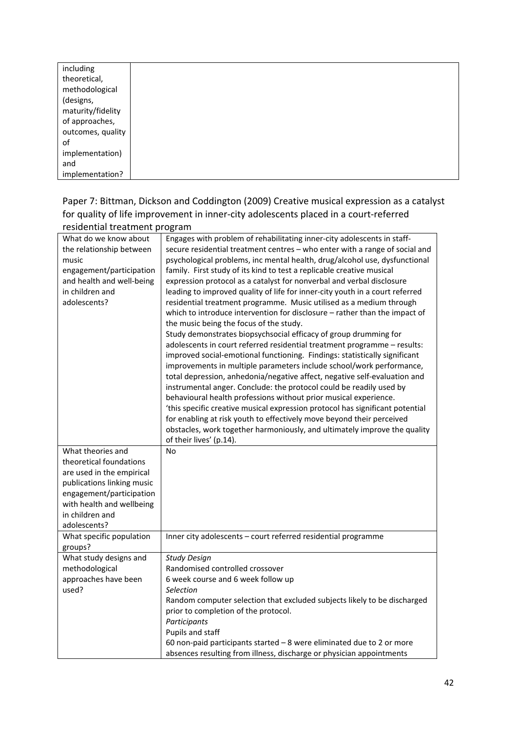| including         |  |
|-------------------|--|
| theoretical,      |  |
| methodological    |  |
| (designs,         |  |
| maturity/fidelity |  |
| of approaches,    |  |
| outcomes, quality |  |
| οf                |  |
| implementation)   |  |
| and               |  |
| implementation?   |  |

Paper 7: Bittman, Dickson and Coddington (2009) Creative musical expression as a catalyst for quality of life improvement in inner‐city adolescents placed in a court‐referred residential treatment program

| residential treatment program                                                                                                                                                                       |                                                                                                                                                                                                                                                                                                                                                                                                                                                                                                                                                                                                                                                                                                                                                                                                                                                                                                                                                                                                                                                                                                                                                                                                                                                                                                                                                                                                                                                                        |
|-----------------------------------------------------------------------------------------------------------------------------------------------------------------------------------------------------|------------------------------------------------------------------------------------------------------------------------------------------------------------------------------------------------------------------------------------------------------------------------------------------------------------------------------------------------------------------------------------------------------------------------------------------------------------------------------------------------------------------------------------------------------------------------------------------------------------------------------------------------------------------------------------------------------------------------------------------------------------------------------------------------------------------------------------------------------------------------------------------------------------------------------------------------------------------------------------------------------------------------------------------------------------------------------------------------------------------------------------------------------------------------------------------------------------------------------------------------------------------------------------------------------------------------------------------------------------------------------------------------------------------------------------------------------------------------|
| What do we know about<br>the relationship between<br>music<br>engagement/participation<br>and health and well-being<br>in children and<br>adolescents?                                              | Engages with problem of rehabilitating inner-city adolescents in staff-<br>secure residential treatment centres - who enter with a range of social and<br>psychological problems, inc mental health, drug/alcohol use, dysfunctional<br>family. First study of its kind to test a replicable creative musical<br>expression protocol as a catalyst for nonverbal and verbal disclosure<br>leading to improved quality of life for inner-city youth in a court referred<br>residential treatment programme. Music utilised as a medium through<br>which to introduce intervention for disclosure - rather than the impact of<br>the music being the focus of the study.<br>Study demonstrates biopsychsocial efficacy of group drumming for<br>adolescents in court referred residential treatment programme - results:<br>improved social-emotional functioning. Findings: statistically significant<br>improvements in multiple parameters include school/work performance,<br>total depression, anhedonia/negative affect, negative self-evaluation and<br>instrumental anger. Conclude: the protocol could be readily used by<br>behavioural health professions without prior musical experience.<br>'this specific creative musical expression protocol has significant potential<br>for enabling at risk youth to effectively move beyond their perceived<br>obstacles, work together harmoniously, and ultimately improve the quality<br>of their lives' (p.14). |
| What theories and<br>theoretical foundations<br>are used in the empirical<br>publications linking music<br>engagement/participation<br>with health and wellbeing<br>in children and<br>adolescents? | No                                                                                                                                                                                                                                                                                                                                                                                                                                                                                                                                                                                                                                                                                                                                                                                                                                                                                                                                                                                                                                                                                                                                                                                                                                                                                                                                                                                                                                                                     |
| What specific population<br>groups?                                                                                                                                                                 | Inner city adolescents - court referred residential programme                                                                                                                                                                                                                                                                                                                                                                                                                                                                                                                                                                                                                                                                                                                                                                                                                                                                                                                                                                                                                                                                                                                                                                                                                                                                                                                                                                                                          |
| What study designs and<br>methodological<br>approaches have been<br>used?                                                                                                                           | <b>Study Design</b><br>Randomised controlled crossover<br>6 week course and 6 week follow up<br>Selection<br>Random computer selection that excluded subjects likely to be discharged<br>prior to completion of the protocol.<br>Participants<br>Pupils and staff<br>60 non-paid participants started $-8$ were eliminated due to 2 or more<br>absences resulting from illness, discharge or physician appointments                                                                                                                                                                                                                                                                                                                                                                                                                                                                                                                                                                                                                                                                                                                                                                                                                                                                                                                                                                                                                                                    |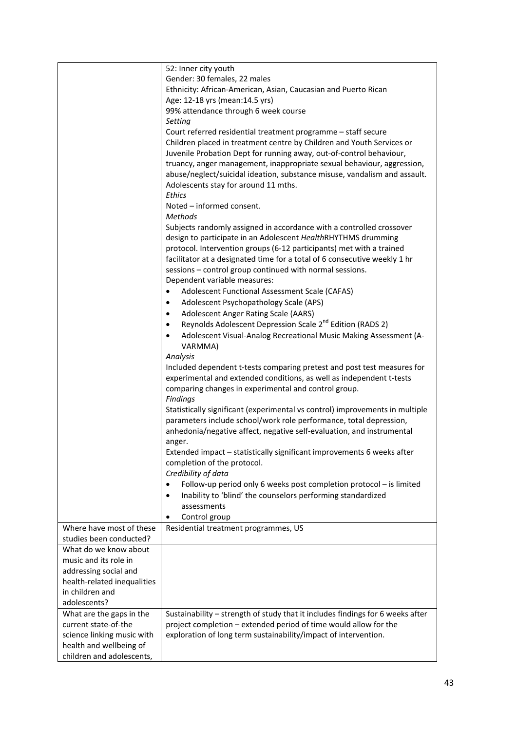|                             | 52: Inner city youth                                                           |
|-----------------------------|--------------------------------------------------------------------------------|
|                             | Gender: 30 females, 22 males                                                   |
|                             | Ethnicity: African-American, Asian, Caucasian and Puerto Rican                 |
|                             | Age: 12-18 yrs (mean: 14.5 yrs)                                                |
|                             | 99% attendance through 6 week course                                           |
|                             | Setting                                                                        |
|                             | Court referred residential treatment programme - staff secure                  |
|                             | Children placed in treatment centre by Children and Youth Services or          |
|                             | Juvenile Probation Dept for running away, out-of-control behaviour,            |
|                             | truancy, anger management, inappropriate sexual behaviour, aggression,         |
|                             | abuse/neglect/suicidal ideation, substance misuse, vandalism and assault.      |
|                             | Adolescents stay for around 11 mths.                                           |
|                             | <b>Ethics</b>                                                                  |
|                             | Noted - informed consent.                                                      |
|                             | <b>Methods</b>                                                                 |
|                             |                                                                                |
|                             | Subjects randomly assigned in accordance with a controlled crossover           |
|                             | design to participate in an Adolescent HealthRHYTHMS drumming                  |
|                             | protocol. Intervention groups (6-12 participants) met with a trained           |
|                             | facilitator at a designated time for a total of 6 consecutive weekly 1 hr      |
|                             | sessions - control group continued with normal sessions.                       |
|                             | Dependent variable measures:                                                   |
|                             | Adolescent Functional Assessment Scale (CAFAS)<br>$\bullet$                    |
|                             | Adolescent Psychopathology Scale (APS)<br>$\bullet$                            |
|                             | <b>Adolescent Anger Rating Scale (AARS)</b><br>$\bullet$                       |
|                             | Reynolds Adolescent Depression Scale 2 <sup>nd</sup> Edition (RADS 2)          |
|                             | Adolescent Visual-Analog Recreational Music Making Assessment (A-<br>$\bullet$ |
|                             | VARMMA)                                                                        |
|                             | Analysis                                                                       |
|                             | Included dependent t-tests comparing pretest and post test measures for        |
|                             | experimental and extended conditions, as well as independent t-tests           |
|                             | comparing changes in experimental and control group.                           |
|                             | Findings                                                                       |
|                             | Statistically significant (experimental vs control) improvements in multiple   |
|                             | parameters include school/work role performance, total depression,             |
|                             | anhedonia/negative affect, negative self-evaluation, and instrumental          |
|                             | anger.                                                                         |
|                             | Extended impact - statistically significant improvements 6 weeks after         |
|                             | completion of the protocol.                                                    |
|                             | Credibility of data                                                            |
|                             | Follow-up period only 6 weeks post completion protocol – is limited<br>٠       |
|                             | Inability to 'blind' the counselors performing standardized<br>$\bullet$       |
|                             | assessments                                                                    |
|                             | Control group<br>٠                                                             |
| Where have most of these    | Residential treatment programmes, US                                           |
| studies been conducted?     |                                                                                |
| What do we know about       |                                                                                |
| music and its role in       |                                                                                |
| addressing social and       |                                                                                |
| health-related inequalities |                                                                                |
| in children and             |                                                                                |
| adolescents?                |                                                                                |
|                             |                                                                                |
| What are the gaps in the    | Sustainability - strength of study that it includes findings for 6 weeks after |
| current state-of-the        | project completion - extended period of time would allow for the               |
| science linking music with  | exploration of long term sustainability/impact of intervention.                |
| health and wellbeing of     |                                                                                |
| children and adolescents,   |                                                                                |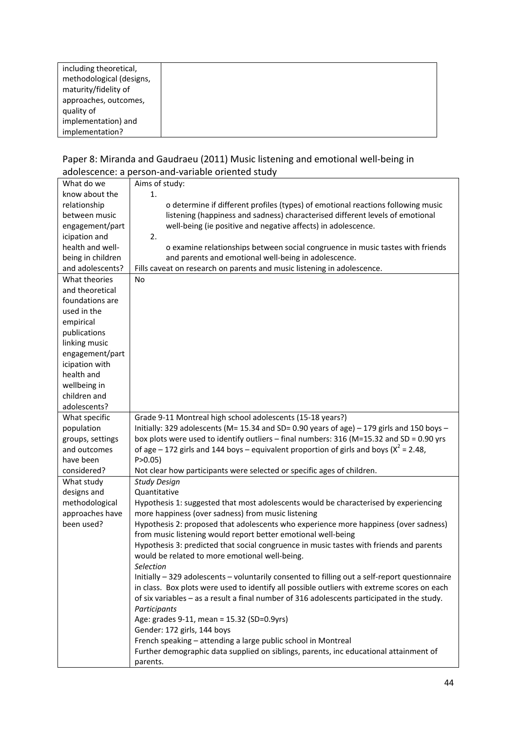| including theoretical,   |  |
|--------------------------|--|
| methodological (designs, |  |
| maturity/fidelity of     |  |
| approaches, outcomes,    |  |
| quality of               |  |
| implementation) and      |  |
| implementation?          |  |

#### Paper 8: Miranda and Gaudraeu (2011) Music listening and emotional well‐being in adolescence: a person‐and‐variable oriented study

| What do we                        | Aims of study:                                                                                                                             |
|-----------------------------------|--------------------------------------------------------------------------------------------------------------------------------------------|
| know about the                    | 1.                                                                                                                                         |
| relationship                      | o determine if different profiles (types) of emotional reactions following music                                                           |
| between music                     | listening (happiness and sadness) characterised different levels of emotional                                                              |
| engagement/part                   | well-being (ie positive and negative affects) in adolescence.                                                                              |
| icipation and                     | 2.                                                                                                                                         |
| health and well-                  | o examine relationships between social congruence in music tastes with friends                                                             |
| being in children                 | and parents and emotional well-being in adolescence.                                                                                       |
| and adolescents?                  | Fills caveat on research on parents and music listening in adolescence.                                                                    |
| What theories                     | No                                                                                                                                         |
| and theoretical                   |                                                                                                                                            |
| foundations are                   |                                                                                                                                            |
| used in the                       |                                                                                                                                            |
| empirical                         |                                                                                                                                            |
| publications                      |                                                                                                                                            |
| linking music                     |                                                                                                                                            |
| engagement/part                   |                                                                                                                                            |
| icipation with                    |                                                                                                                                            |
| health and                        |                                                                                                                                            |
| wellbeing in                      |                                                                                                                                            |
| children and                      |                                                                                                                                            |
| adolescents?                      |                                                                                                                                            |
| What specific                     | Grade 9-11 Montreal high school adolescents (15-18 years?)                                                                                 |
| population                        | Initially: 329 adolescents (M= 15.34 and SD= 0.90 years of age) - 179 girls and 150 boys -                                                 |
| groups, settings                  | box plots were used to identify outliers - final numbers: 316 ( $M=15.32$ and SD = 0.90 yrs                                                |
| and outcomes                      | of age - 172 girls and 144 boys - equivalent proportion of girls and boys ( $x^2$ = 2.48,                                                  |
| have been                         | P > 0.05                                                                                                                                   |
| considered?                       | Not clear how participants were selected or specific ages of children.                                                                     |
| What study                        | <b>Study Design</b>                                                                                                                        |
| designs and                       | Quantitative                                                                                                                               |
| methodological<br>approaches have | Hypothesis 1: suggested that most adolescents would be characterised by experiencing<br>more happiness (over sadness) from music listening |
| been used?                        | Hypothesis 2: proposed that adolescents who experience more happiness (over sadness)                                                       |
|                                   | from music listening would report better emotional well-being                                                                              |
|                                   | Hypothesis 3: predicted that social congruence in music tastes with friends and parents                                                    |
|                                   | would be related to more emotional well-being.                                                                                             |
|                                   | Selection                                                                                                                                  |
|                                   | Initially - 329 adolescents - voluntarily consented to filling out a self-report questionnaire                                             |
|                                   | in class. Box plots were used to identify all possible outliers with extreme scores on each                                                |
|                                   | of six variables - as a result a final number of 316 adolescents participated in the study.<br>Participants                                |
|                                   | Age: grades 9-11, mean = 15.32 (SD=0.9yrs)                                                                                                 |
|                                   | Gender: 172 girls, 144 boys                                                                                                                |
|                                   | French speaking - attending a large public school in Montreal                                                                              |
|                                   | Further demographic data supplied on siblings, parents, inc educational attainment of                                                      |
|                                   | parents.                                                                                                                                   |
|                                   |                                                                                                                                            |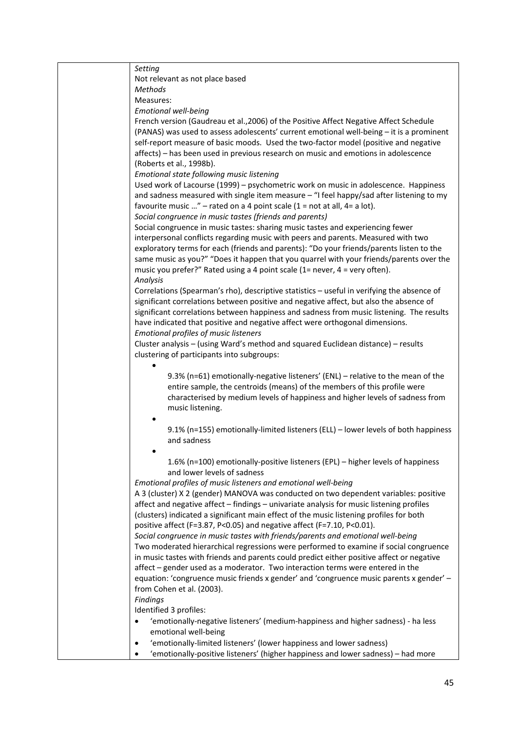| Setting                                                                                    |
|--------------------------------------------------------------------------------------------|
| Not relevant as not place based                                                            |
| Methods                                                                                    |
| Measures:                                                                                  |
| Emotional well-being                                                                       |
| French version (Gaudreau et al., 2006) of the Positive Affect Negative Affect Schedule     |
| (PANAS) was used to assess adolescents' current emotional well-being - it is a prominent   |
| self-report measure of basic moods. Used the two-factor model (positive and negative       |
| affects) – has been used in previous research on music and emotions in adolescence         |
| (Roberts et al., 1998b).                                                                   |
| Emotional state following music listening                                                  |
| Used work of Lacourse (1999) - psychometric work on music in adolescence. Happiness        |
| and sadness measured with single item measure - "I feel happy/sad after listening to my    |
| favourite music " – rated on a 4 point scale (1 = not at all, 4= a lot).                   |
| Social congruence in music tastes (friends and parents)                                    |
| Social congruence in music tastes: sharing music tastes and experiencing fewer             |
|                                                                                            |
| interpersonal conflicts regarding music with peers and parents. Measured with two          |
| exploratory terms for each (friends and parents): "Do your friends/parents listen to the   |
| same music as you?" "Does it happen that you quarrel with your friends/parents over the    |
| music you prefer?" Rated using a 4 point scale (1= never, 4 = very often).                 |
| Analysis                                                                                   |
| Correlations (Spearman's rho), descriptive statistics - useful in verifying the absence of |
| significant correlations between positive and negative affect, but also the absence of     |
| significant correlations between happiness and sadness from music listening. The results   |
| have indicated that positive and negative affect were orthogonal dimensions.               |
| Emotional profiles of music listeners                                                      |
| Cluster analysis - (using Ward's method and squared Euclidean distance) - results          |
| clustering of participants into subgroups:                                                 |
|                                                                                            |
| 9.3% (n=61) emotionally-negative listeners' (ENL) - relative to the mean of the            |
| entire sample, the centroids (means) of the members of this profile were                   |
| characterised by medium levels of happiness and higher levels of sadness from              |
| music listening.                                                                           |
|                                                                                            |
| 9.1% (n=155) emotionally-limited listeners (ELL) - lower levels of both happiness          |
| and sadness                                                                                |
|                                                                                            |
| 1.6% (n=100) emotionally-positive listeners (EPL) - higher levels of happiness             |
| and lower levels of sadness                                                                |
| Emotional profiles of music listeners and emotional well-being                             |
| A 3 (cluster) X 2 (gender) MANOVA was conducted on two dependent variables: positive       |
| affect and negative affect - findings - univariate analysis for music listening profiles   |
|                                                                                            |
| (clusters) indicated a significant main effect of the music listening profiles for both    |
| positive affect (F=3.87, P<0.05) and negative affect (F=7.10, P<0.01).                     |
| Social congruence in music tastes with friends/parents and emotional well-being            |
| Two moderated hierarchical regressions were performed to examine if social congruence      |
| in music tastes with friends and parents could predict either positive affect or negative  |
| affect - gender used as a moderator. Two interaction terms were entered in the             |
| equation: 'congruence music friends x gender' and 'congruence music parents x gender' -    |
| from Cohen et al. (2003).                                                                  |
| Findings                                                                                   |
| Identified 3 profiles:                                                                     |
| 'emotionally-negative listeners' (medium-happiness and higher sadness) - ha less           |
| emotional well-being                                                                       |
| 'emotionally-limited listeners' (lower happiness and lower sadness)                        |
| 'emotionally-positive listeners' (higher happiness and lower sadness) - had more           |